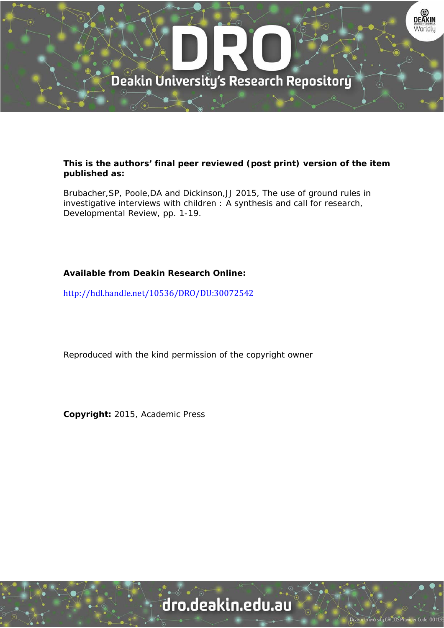

### **This is the authors' final peer reviewed (post print) version of the item published as:**

Brubacher,SP, Poole,DA and Dickinson,JJ 2015, The use of ground rules in investigative interviews with children : A synthesis and call for research, Developmental Review, pp. 1-19.

## **Available from Deakin Research Online:**

http://hdl.handle.net/10536/DRO/DU:30072542

Reproduced with the kind permission of the copyright owner

**Copyright:** 2015, Academic Press

# dro.deakin.edu.au

**Jniversity CRICOS Prov**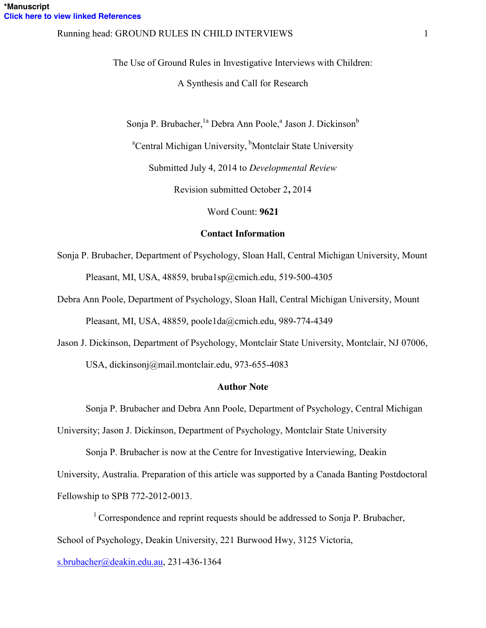#### Running head: GROUND RULES IN CHILD INTERVIEWS 1

The Use of Ground Rules in Investigative Interviews with Children:

A Synthesis and Call for Research

Sonja P. Brubacher, <sup>la</sup> Debra Ann Poole,<sup>a</sup> Jason J. Dickinson<sup>b</sup>

<sup>a</sup>Central Michigan University, <sup>b</sup>Montclair State University

Submitted July 4, 2014 to *Developmental Review*

Revision submitted October 2**,** 2014

Word Count: **9621**

#### **Contact Information**

Sonja P. Brubacher, Department of Psychology, Sloan Hall, Central Michigan University, Mount Pleasant, MI, USA, 48859, bruba1sp@cmich.edu, 519-500-4305

Debra Ann Poole, Department of Psychology, Sloan Hall, Central Michigan University, Mount Pleasant, MI, USA, 48859, poole1da@cmich.edu, 989-774-4349

Jason J. Dickinson, Department of Psychology, Montclair State University, Montclair, NJ 07006, USA, dickinsonj@mail.montclair.edu, 973-655-4083

#### **Author Note**

Sonja P. Brubacher and Debra Ann Poole, Department of Psychology, Central Michigan

University; Jason J. Dickinson, Department of Psychology, Montclair State University

Sonja P. Brubacher is now at the Centre for Investigative Interviewing, Deakin University, Australia. Preparation of this article was supported by a Canada Banting Postdoctoral Fellowship to SPB 772-2012-0013.

<sup>1</sup> Correspondence and reprint requests should be addressed to Sonja P. Brubacher, School of Psychology, Deakin University, 221 Burwood Hwy, 3125 Victoria,

[s.brubacher@deakin.edu.au,](mailto:s.brubacher@deakin.edu.au) 231-436-1364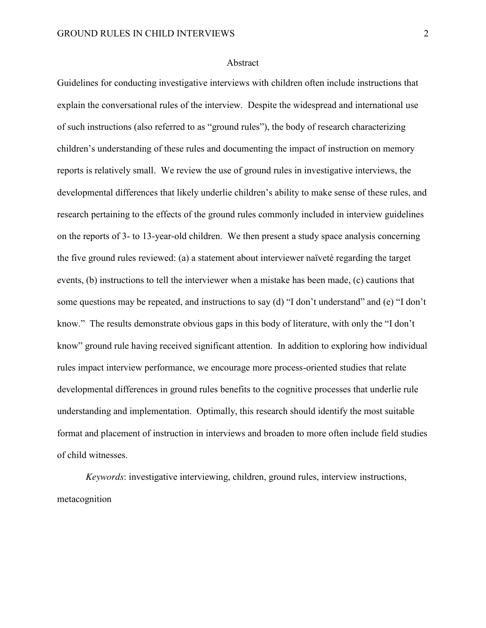#### Abstract

Guidelines for conducting investigative interviews with children often include instructions that explain the conversational rules of the interview. Despite the widespread and international use of such instructions (also referred to as "ground rules"), the body of research characterizing children's understanding of these rules and documenting the impact of instruction on memory reports is relatively small. We review the use of ground rules in investigative interviews, the developmental differences that likely underlie children's ability to make sense of these rules, and research pertaining to the effects of the ground rules commonly included in interview guidelines on the reports of 3- to 13-year-old children. We then present a study space analysis concerning the five ground rules reviewed: (a) a statement about interviewer naïveté regarding the target events, (b) instructions to tell the interviewer when a mistake has been made, (c) cautions that some questions may be repeated, and instructions to say (d) "I don't understand" and (e) "I don't know." The results demonstrate obvious gaps in this body of literature, with only the "I don't know" ground rule having received significant attention. In addition to exploring how individual rules impact interview performance, we encourage more process-oriented studies that relate developmental differences in ground rules benefits to the cognitive processes that underlie rule understanding and implementation. Optimally, this research should identify the most suitable format and placement of instruction in interviews and broaden to more often include field studies of child witnesses.

*Keywords*: investigative interviewing, children, ground rules, interview instructions, metacognition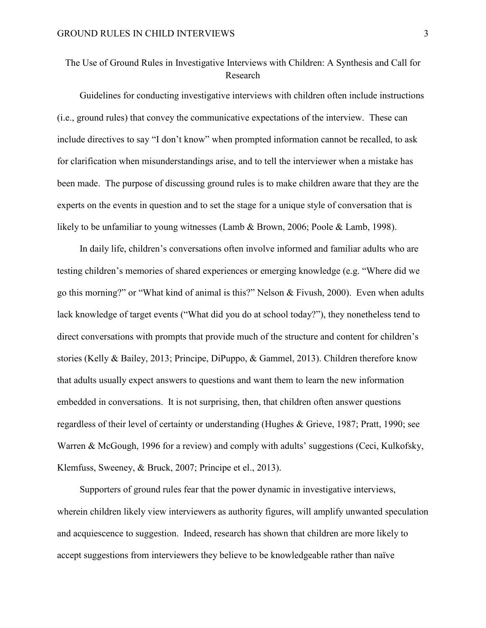# The Use of Ground Rules in Investigative Interviews with Children: A Synthesis and Call for Research

Guidelines for conducting investigative interviews with children often include instructions (i.e., ground rules) that convey the communicative expectations of the interview. These can include directives to say "I don't know" when prompted information cannot be recalled, to ask for clarification when misunderstandings arise, and to tell the interviewer when a mistake has been made. The purpose of discussing ground rules is to make children aware that they are the experts on the events in question and to set the stage for a unique style of conversation that is likely to be unfamiliar to young witnesses (Lamb & Brown, 2006; Poole & Lamb, 1998).

In daily life, children's conversations often involve informed and familiar adults who are testing children's memories of shared experiences or emerging knowledge (e.g. "Where did we go this morning?" or "What kind of animal is this?" Nelson & Fivush, 2000). Even when adults lack knowledge of target events ("What did you do at school today?"), they nonetheless tend to direct conversations with prompts that provide much of the structure and content for children's stories (Kelly & Bailey, 2013; Principe, DiPuppo, & Gammel, 2013). Children therefore know that adults usually expect answers to questions and want them to learn the new information embedded in conversations. It is not surprising, then, that children often answer questions regardless of their level of certainty or understanding (Hughes & Grieve, 1987; Pratt, 1990; see Warren & McGough, 1996 for a review) and comply with adults' suggestions (Ceci, Kulkofsky, Klemfuss, Sweeney, & Bruck, 2007; Principe et el., 2013).

Supporters of ground rules fear that the power dynamic in investigative interviews, wherein children likely view interviewers as authority figures, will amplify unwanted speculation and acquiescence to suggestion. Indeed, research has shown that children are more likely to accept suggestions from interviewers they believe to be knowledgeable rather than naïve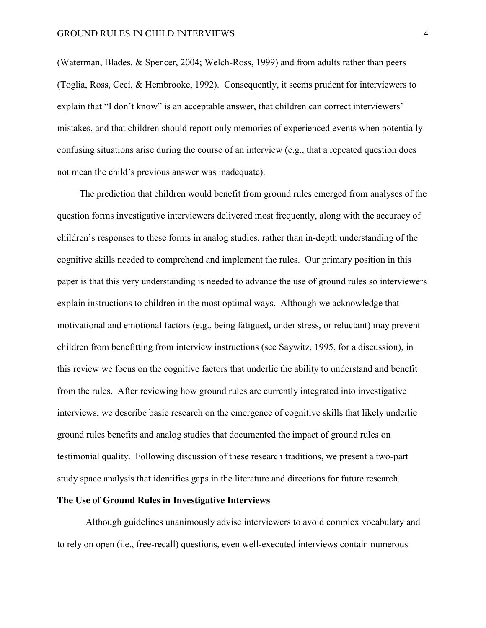(Waterman, Blades, & Spencer, 2004; Welch-Ross, 1999) and from adults rather than peers (Toglia, Ross, Ceci, & Hembrooke, 1992). Consequently, it seems prudent for interviewers to explain that "I don't know" is an acceptable answer, that children can correct interviewers' mistakes, and that children should report only memories of experienced events when potentiallyconfusing situations arise during the course of an interview (e.g., that a repeated question does not mean the child's previous answer was inadequate).

The prediction that children would benefit from ground rules emerged from analyses of the question forms investigative interviewers delivered most frequently, along with the accuracy of children's responses to these forms in analog studies, rather than in-depth understanding of the cognitive skills needed to comprehend and implement the rules. Our primary position in this paper is that this very understanding is needed to advance the use of ground rules so interviewers explain instructions to children in the most optimal ways. Although we acknowledge that motivational and emotional factors (e.g., being fatigued, under stress, or reluctant) may prevent children from benefitting from interview instructions (see Saywitz, 1995, for a discussion), in this review we focus on the cognitive factors that underlie the ability to understand and benefit from the rules. After reviewing how ground rules are currently integrated into investigative interviews, we describe basic research on the emergence of cognitive skills that likely underlie ground rules benefits and analog studies that documented the impact of ground rules on testimonial quality. Following discussion of these research traditions, we present a two-part study space analysis that identifies gaps in the literature and directions for future research.

#### **The Use of Ground Rules in Investigative Interviews**

Although guidelines unanimously advise interviewers to avoid complex vocabulary and to rely on open (i.e., free-recall) questions, even well-executed interviews contain numerous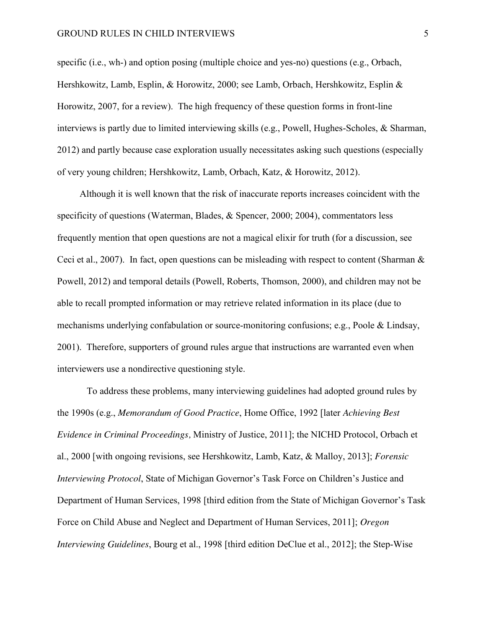specific (i.e., wh-) and option posing (multiple choice and yes-no) questions (e.g., Orbach, Hershkowitz, Lamb, Esplin, & Horowitz, 2000; see Lamb, Orbach, Hershkowitz, Esplin & Horowitz, 2007, for a review). The high frequency of these question forms in front-line interviews is partly due to limited interviewing skills (e.g., Powell, Hughes-Scholes, & Sharman, 2012) and partly because case exploration usually necessitates asking such questions (especially of very young children; Hershkowitz, Lamb, Orbach, Katz, & Horowitz, 2012).

Although it is well known that the risk of inaccurate reports increases coincident with the specificity of questions (Waterman, Blades, & Spencer, 2000; 2004), commentators less frequently mention that open questions are not a magical elixir for truth (for a discussion, see Ceci et al., 2007). In fact, open questions can be misleading with respect to content (Sharman  $\&$ Powell, 2012) and temporal details (Powell, Roberts, Thomson, 2000), and children may not be able to recall prompted information or may retrieve related information in its place (due to mechanisms underlying confabulation or source-monitoring confusions; e.g., Poole & Lindsay, 2001). Therefore, supporters of ground rules argue that instructions are warranted even when interviewers use a nondirective questioning style.

 To address these problems, many interviewing guidelines had adopted ground rules by the 1990s (e.g., *Memorandum of Good Practice*, Home Office, 1992 [later *Achieving Best Evidence in Criminal Proceedings,* Ministry of Justice, 2011]; the NICHD Protocol, Orbach et al., 2000 [with ongoing revisions, see Hershkowitz, Lamb, Katz, & Malloy, 2013]; *Forensic Interviewing Protocol*, State of Michigan Governor's Task Force on Children's Justice and Department of Human Services, 1998 [third edition from the State of Michigan Governor's Task Force on Child Abuse and Neglect and Department of Human Services, 2011]; *Oregon Interviewing Guidelines*, Bourg et al., 1998 [third edition DeClue et al., 2012]; the Step-Wise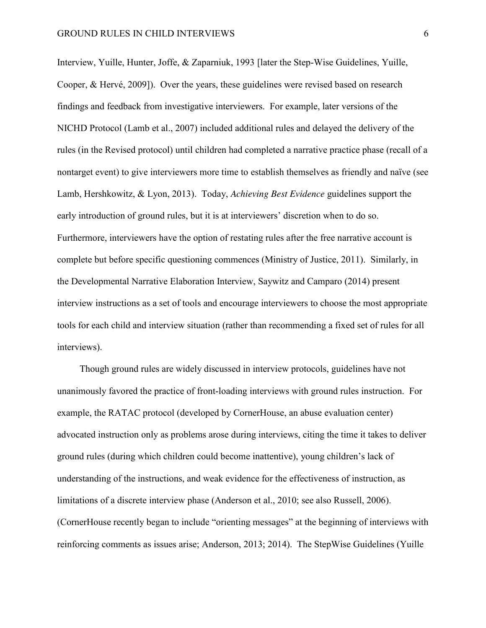Interview, Yuille, Hunter, Joffe, & Zaparniuk, 1993 [later the Step-Wise Guidelines, Yuille, Cooper, & Hervé, 2009]). Over the years, these guidelines were revised based on research findings and feedback from investigative interviewers. For example, later versions of the NICHD Protocol (Lamb et al., 2007) included additional rules and delayed the delivery of the rules (in the Revised protocol) until children had completed a narrative practice phase (recall of a nontarget event) to give interviewers more time to establish themselves as friendly and naïve (see Lamb, Hershkowitz, & Lyon, 2013). Today, *Achieving Best Evidence* guidelines support the early introduction of ground rules, but it is at interviewers' discretion when to do so. Furthermore, interviewers have the option of restating rules after the free narrative account is complete but before specific questioning commences (Ministry of Justice, 2011). Similarly, in the Developmental Narrative Elaboration Interview, Saywitz and Camparo (2014) present interview instructions as a set of tools and encourage interviewers to choose the most appropriate tools for each child and interview situation (rather than recommending a fixed set of rules for all interviews).

Though ground rules are widely discussed in interview protocols, guidelines have not unanimously favored the practice of front-loading interviews with ground rules instruction. For example, the RATAC protocol (developed by CornerHouse, an abuse evaluation center) advocated instruction only as problems arose during interviews, citing the time it takes to deliver ground rules (during which children could become inattentive), young children's lack of understanding of the instructions, and weak evidence for the effectiveness of instruction, as limitations of a discrete interview phase (Anderson et al., 2010; see also Russell, 2006). (CornerHouse recently began to include "orienting messages" at the beginning of interviews with reinforcing comments as issues arise; Anderson, 2013; 2014). The StepWise Guidelines (Yuille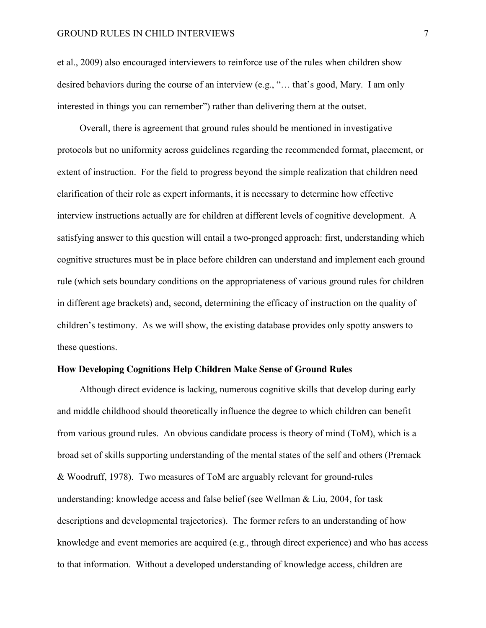et al., 2009) also encouraged interviewers to reinforce use of the rules when children show desired behaviors during the course of an interview (e.g., "… that's good, Mary. I am only interested in things you can remember") rather than delivering them at the outset.

Overall, there is agreement that ground rules should be mentioned in investigative protocols but no uniformity across guidelines regarding the recommended format, placement, or extent of instruction. For the field to progress beyond the simple realization that children need clarification of their role as expert informants, it is necessary to determine how effective interview instructions actually are for children at different levels of cognitive development. A satisfying answer to this question will entail a two-pronged approach: first, understanding which cognitive structures must be in place before children can understand and implement each ground rule (which sets boundary conditions on the appropriateness of various ground rules for children in different age brackets) and, second, determining the efficacy of instruction on the quality of children's testimony. As we will show, the existing database provides only spotty answers to these questions.

#### **How Developing Cognitions Help Children Make Sense of Ground Rules**

Although direct evidence is lacking, numerous cognitive skills that develop during early and middle childhood should theoretically influence the degree to which children can benefit from various ground rules. An obvious candidate process is theory of mind (ToM), which is a broad set of skills supporting understanding of the mental states of the self and others (Premack & Woodruff, 1978). Two measures of ToM are arguably relevant for ground-rules understanding: knowledge access and false belief (see Wellman & Liu, 2004, for task descriptions and developmental trajectories). The former refers to an understanding of how knowledge and event memories are acquired (e.g., through direct experience) and who has access to that information. Without a developed understanding of knowledge access, children are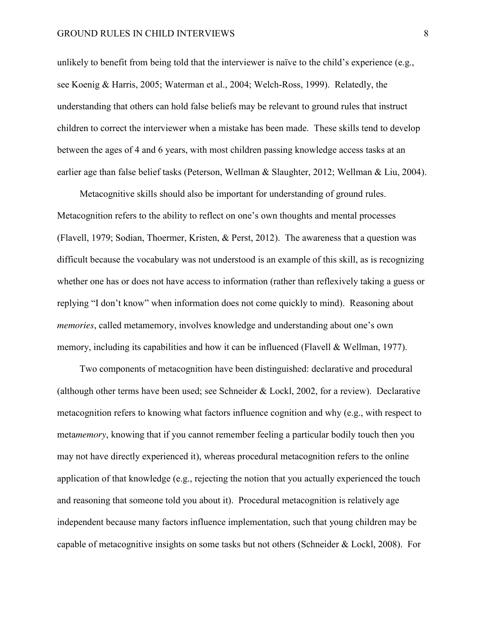unlikely to benefit from being told that the interviewer is naïve to the child's experience (e.g., see Koenig & Harris, 2005; Waterman et al., 2004; Welch-Ross, 1999). Relatedly, the understanding that others can hold false beliefs may be relevant to ground rules that instruct children to correct the interviewer when a mistake has been made. These skills tend to develop between the ages of 4 and 6 years, with most children passing knowledge access tasks at an earlier age than false belief tasks (Peterson, Wellman & Slaughter, 2012; Wellman & Liu, 2004).

Metacognitive skills should also be important for understanding of ground rules. Metacognition refers to the ability to reflect on one's own thoughts and mental processes (Flavell, 1979; Sodian, Thoermer, Kristen, & Perst, 2012). The awareness that a question was difficult because the vocabulary was not understood is an example of this skill, as is recognizing whether one has or does not have access to information (rather than reflexively taking a guess or replying "I don't know" when information does not come quickly to mind). Reasoning about *memories*, called metamemory, involves knowledge and understanding about one's own memory, including its capabilities and how it can be influenced (Flavell & Wellman, 1977).

Two components of metacognition have been distinguished: declarative and procedural (although other terms have been used; see Schneider  $&$  Lockl, 2002, for a review). Declarative metacognition refers to knowing what factors influence cognition and why (e.g., with respect to meta*memory*, knowing that if you cannot remember feeling a particular bodily touch then you may not have directly experienced it), whereas procedural metacognition refers to the online application of that knowledge (e.g., rejecting the notion that you actually experienced the touch and reasoning that someone told you about it). Procedural metacognition is relatively age independent because many factors influence implementation, such that young children may be capable of metacognitive insights on some tasks but not others (Schneider & Lockl, 2008). For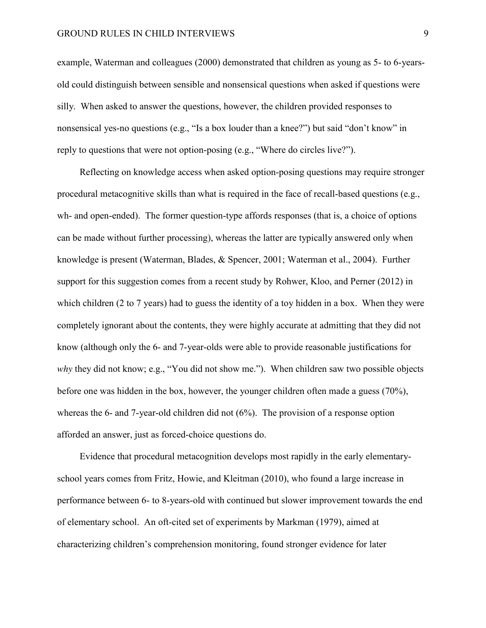#### GROUND RULES IN CHILD INTERVIEWS 9

example, Waterman and colleagues (2000) demonstrated that children as young as 5- to 6-yearsold could distinguish between sensible and nonsensical questions when asked if questions were silly. When asked to answer the questions, however, the children provided responses to nonsensical yes-no questions (e.g., "Is a box louder than a knee?") but said "don't know" in reply to questions that were not option-posing (e.g., "Where do circles live?").

Reflecting on knowledge access when asked option-posing questions may require stronger procedural metacognitive skills than what is required in the face of recall-based questions (e.g., wh- and open-ended). The former question-type affords responses (that is, a choice of options can be made without further processing), whereas the latter are typically answered only when knowledge is present (Waterman, Blades, & Spencer, 2001; Waterman et al., 2004). Further support for this suggestion comes from a recent study by Rohwer, Kloo, and Perner (2012) in which children (2 to 7 years) had to guess the identity of a toy hidden in a box. When they were completely ignorant about the contents, they were highly accurate at admitting that they did not know (although only the 6- and 7-year-olds were able to provide reasonable justifications for *why* they did not know; e.g., "You did not show me."). When children saw two possible objects before one was hidden in the box, however, the younger children often made a guess (70%), whereas the 6- and 7-year-old children did not  $(6%)$ . The provision of a response option afforded an answer, just as forced-choice questions do.

Evidence that procedural metacognition develops most rapidly in the early elementaryschool years comes from Fritz, Howie, and Kleitman (2010), who found a large increase in performance between 6- to 8-years-old with continued but slower improvement towards the end of elementary school. An oft-cited set of experiments by Markman (1979), aimed at characterizing children's comprehension monitoring, found stronger evidence for later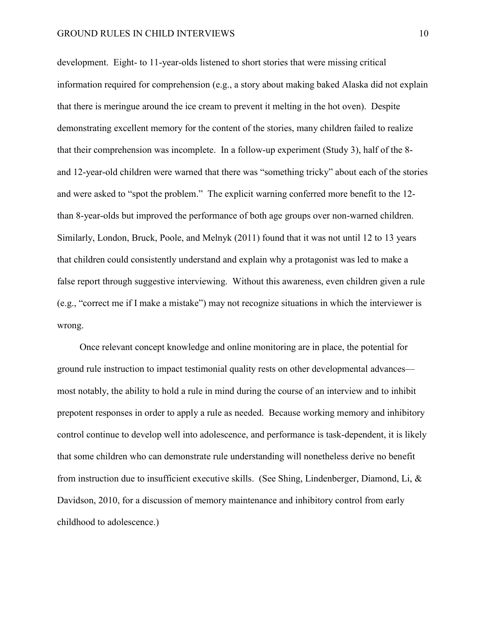development. Eight- to 11-year-olds listened to short stories that were missing critical information required for comprehension (e.g., a story about making baked Alaska did not explain that there is meringue around the ice cream to prevent it melting in the hot oven). Despite demonstrating excellent memory for the content of the stories, many children failed to realize that their comprehension was incomplete. In a follow-up experiment (Study 3), half of the 8 and 12-year-old children were warned that there was "something tricky" about each of the stories and were asked to "spot the problem." The explicit warning conferred more benefit to the 12 than 8-year-olds but improved the performance of both age groups over non-warned children. Similarly, London, Bruck, Poole, and Melnyk (2011) found that it was not until 12 to 13 years that children could consistently understand and explain why a protagonist was led to make a false report through suggestive interviewing. Without this awareness, even children given a rule (e.g., "correct me if I make a mistake") may not recognize situations in which the interviewer is wrong.

Once relevant concept knowledge and online monitoring are in place, the potential for ground rule instruction to impact testimonial quality rests on other developmental advances most notably, the ability to hold a rule in mind during the course of an interview and to inhibit prepotent responses in order to apply a rule as needed. Because working memory and inhibitory control continue to develop well into adolescence, and performance is task-dependent, it is likely that some children who can demonstrate rule understanding will nonetheless derive no benefit from instruction due to insufficient executive skills. (See Shing, Lindenberger, Diamond, Li, & Davidson, 2010, for a discussion of memory maintenance and inhibitory control from early childhood to adolescence.)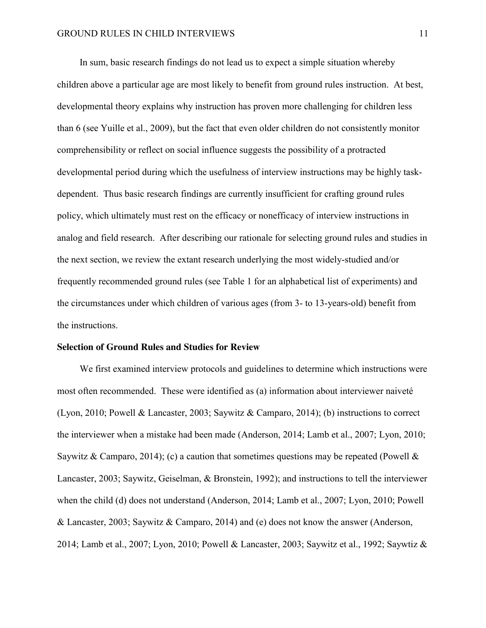In sum, basic research findings do not lead us to expect a simple situation whereby children above a particular age are most likely to benefit from ground rules instruction. At best, developmental theory explains why instruction has proven more challenging for children less than 6 (see Yuille et al., 2009), but the fact that even older children do not consistently monitor comprehensibility or reflect on social influence suggests the possibility of a protracted developmental period during which the usefulness of interview instructions may be highly taskdependent. Thus basic research findings are currently insufficient for crafting ground rules policy, which ultimately must rest on the efficacy or nonefficacy of interview instructions in analog and field research. After describing our rationale for selecting ground rules and studies in the next section, we review the extant research underlying the most widely-studied and/or frequently recommended ground rules (see Table 1 for an alphabetical list of experiments) and the circumstances under which children of various ages (from 3- to 13-years-old) benefit from the instructions.

#### **Selection of Ground Rules and Studies for Review**

We first examined interview protocols and guidelines to determine which instructions were most often recommended. These were identified as (a) information about interviewer naiveté (Lyon, 2010; Powell & Lancaster, 2003; Saywitz & Camparo, 2014); (b) instructions to correct the interviewer when a mistake had been made (Anderson, 2014; Lamb et al., 2007; Lyon, 2010; Saywitz & Camparo, 2014); (c) a caution that sometimes questions may be repeated (Powell & Lancaster, 2003; Saywitz, Geiselman, & Bronstein, 1992); and instructions to tell the interviewer when the child (d) does not understand (Anderson, 2014; Lamb et al., 2007; Lyon, 2010; Powell & Lancaster, 2003; Saywitz & Camparo, 2014) and (e) does not know the answer (Anderson, 2014; Lamb et al., 2007; Lyon, 2010; Powell & Lancaster, 2003; Saywitz et al., 1992; Saywtiz &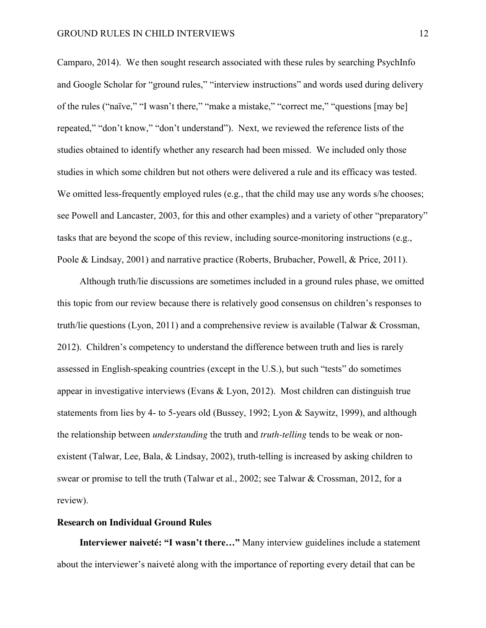Camparo, 2014). We then sought research associated with these rules by searching PsychInfo and Google Scholar for "ground rules," "interview instructions" and words used during delivery of the rules ("naïve," "I wasn't there," "make a mistake," "correct me," "questions [may be] repeated," "don't know," "don't understand"). Next, we reviewed the reference lists of the studies obtained to identify whether any research had been missed. We included only those studies in which some children but not others were delivered a rule and its efficacy was tested. We omitted less-frequently employed rules (e.g., that the child may use any words s/he chooses; see Powell and Lancaster, 2003, for this and other examples) and a variety of other "preparatory" tasks that are beyond the scope of this review, including source-monitoring instructions (e.g., Poole & Lindsay, 2001) and narrative practice (Roberts, Brubacher, Powell, & Price, 2011).

Although truth/lie discussions are sometimes included in a ground rules phase, we omitted this topic from our review because there is relatively good consensus on children's responses to truth/lie questions (Lyon, 2011) and a comprehensive review is available (Talwar & Crossman, 2012). Children's competency to understand the difference between truth and lies is rarely assessed in English-speaking countries (except in the U.S.), but such "tests" do sometimes appear in investigative interviews (Evans & Lyon, 2012). Most children can distinguish true statements from lies by 4- to 5-years old (Bussey, 1992; Lyon & Saywitz, 1999), and although the relationship between *understanding* the truth and *truth-telling* tends to be weak or nonexistent (Talwar, Lee, Bala, & Lindsay, 2002), truth-telling is increased by asking children to swear or promise to tell the truth (Talwar et al., 2002; see Talwar & Crossman, 2012, for a review).

#### **Research on Individual Ground Rules**

**Interviewer naiveté: "I wasn't there…"** Many interview guidelines include a statement about the interviewer's naiveté along with the importance of reporting every detail that can be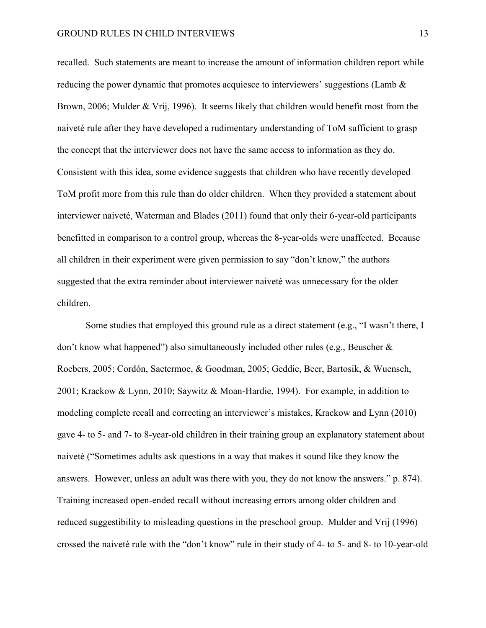recalled. Such statements are meant to increase the amount of information children report while reducing the power dynamic that promotes acquiesce to interviewers' suggestions (Lamb  $\&$ Brown, 2006; Mulder & Vrij, 1996). It seems likely that children would benefit most from the naiveté rule after they have developed a rudimentary understanding of ToM sufficient to grasp the concept that the interviewer does not have the same access to information as they do. Consistent with this idea, some evidence suggests that children who have recently developed ToM profit more from this rule than do older children. When they provided a statement about interviewer naiveté, Waterman and Blades (2011) found that only their 6-year-old participants benefitted in comparison to a control group, whereas the 8-year-olds were unaffected. Because all children in their experiment were given permission to say "don't know," the authors suggested that the extra reminder about interviewer naiveté was unnecessary for the older children.

Some studies that employed this ground rule as a direct statement (e.g., "I wasn't there, I don't know what happened") also simultaneously included other rules (e.g., Beuscher & Roebers, 2005; Cordón, Saetermoe, & Goodman, 2005; Geddie, Beer, Bartosik, & Wuensch, 2001; Krackow & Lynn, 2010; Saywitz & Moan-Hardie, 1994). For example, in addition to modeling complete recall and correcting an interviewer's mistakes, Krackow and Lynn (2010) gave 4- to 5- and 7- to 8-year-old children in their training group an explanatory statement about naiveté ("Sometimes adults ask questions in a way that makes it sound like they know the answers. However, unless an adult was there with you, they do not know the answers." p. 874). Training increased open-ended recall without increasing errors among older children and reduced suggestibility to misleading questions in the preschool group. Mulder and Vrij (1996) crossed the naiveté rule with the "don't know" rule in their study of 4- to 5- and 8- to 10-year-old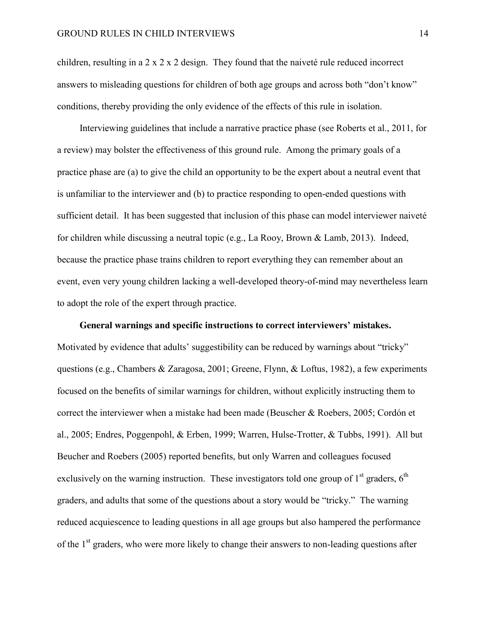children, resulting in a 2 x 2 x 2 design. They found that the naiveté rule reduced incorrect answers to misleading questions for children of both age groups and across both "don't know" conditions, thereby providing the only evidence of the effects of this rule in isolation.

Interviewing guidelines that include a narrative practice phase (see Roberts et al., 2011, for a review) may bolster the effectiveness of this ground rule. Among the primary goals of a practice phase are (a) to give the child an opportunity to be the expert about a neutral event that is unfamiliar to the interviewer and (b) to practice responding to open-ended questions with sufficient detail. It has been suggested that inclusion of this phase can model interviewer naiveté for children while discussing a neutral topic (e.g., La Rooy, Brown & Lamb, 2013). Indeed, because the practice phase trains children to report everything they can remember about an event, even very young children lacking a well-developed theory-of-mind may nevertheless learn to adopt the role of the expert through practice.

**General warnings and specific instructions to correct interviewers' mistakes.**  Motivated by evidence that adults' suggestibility can be reduced by warnings about "tricky" questions (e.g., Chambers & Zaragosa, 2001; Greene, Flynn, & Loftus, 1982), a few experiments focused on the benefits of similar warnings for children, without explicitly instructing them to correct the interviewer when a mistake had been made (Beuscher & Roebers, 2005; Cordón et al., 2005; Endres, Poggenpohl, & Erben, 1999; Warren, Hulse-Trotter, & Tubbs, 1991). All but Beucher and Roebers (2005) reported benefits, but only Warren and colleagues focused exclusively on the warning instruction. These investigators told one group of  $1<sup>st</sup>$  graders,  $6<sup>th</sup>$ graders, and adults that some of the questions about a story would be "tricky." The warning reduced acquiescence to leading questions in all age groups but also hampered the performance of the 1<sup>st</sup> graders, who were more likely to change their answers to non-leading questions after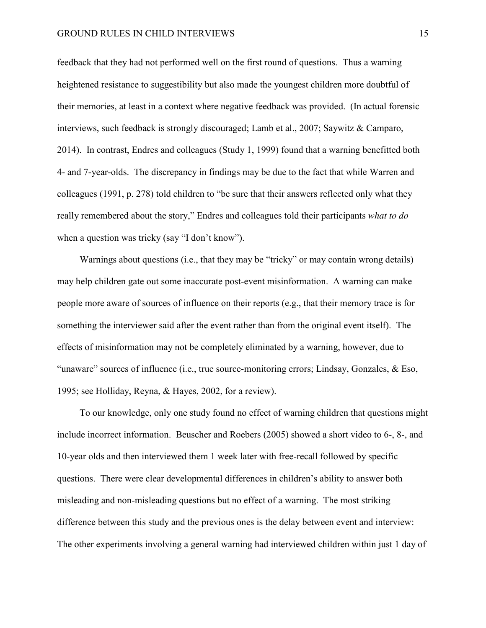feedback that they had not performed well on the first round of questions. Thus a warning heightened resistance to suggestibility but also made the youngest children more doubtful of their memories, at least in a context where negative feedback was provided. (In actual forensic interviews, such feedback is strongly discouraged; Lamb et al., 2007; Saywitz & Camparo, 2014). In contrast, Endres and colleagues (Study 1, 1999) found that a warning benefitted both 4- and 7-year-olds. The discrepancy in findings may be due to the fact that while Warren and colleagues (1991, p. 278) told children to "be sure that their answers reflected only what they really remembered about the story," Endres and colleagues told their participants *what to do* when a question was tricky (say "I don't know").

Warnings about questions (i.e., that they may be "tricky" or may contain wrong details) may help children gate out some inaccurate post-event misinformation. A warning can make people more aware of sources of influence on their reports (e.g., that their memory trace is for something the interviewer said after the event rather than from the original event itself). The effects of misinformation may not be completely eliminated by a warning, however, due to "unaware" sources of influence (i.e., true source-monitoring errors; Lindsay, Gonzales, & Eso, 1995; see Holliday, Reyna, & Hayes, 2002, for a review).

To our knowledge, only one study found no effect of warning children that questions might include incorrect information. Beuscher and Roebers (2005) showed a short video to 6-, 8-, and 10-year olds and then interviewed them 1 week later with free-recall followed by specific questions. There were clear developmental differences in children's ability to answer both misleading and non-misleading questions but no effect of a warning. The most striking difference between this study and the previous ones is the delay between event and interview: The other experiments involving a general warning had interviewed children within just 1 day of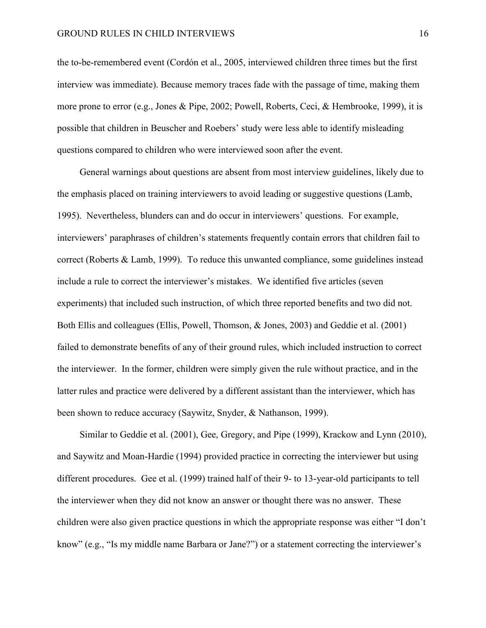the to-be-remembered event (Cordón et al., 2005, interviewed children three times but the first interview was immediate). Because memory traces fade with the passage of time, making them more prone to error (e.g., Jones & Pipe, 2002; Powell, Roberts, Ceci, & Hembrooke, 1999), it is possible that children in Beuscher and Roebers' study were less able to identify misleading questions compared to children who were interviewed soon after the event.

General warnings about questions are absent from most interview guidelines, likely due to the emphasis placed on training interviewers to avoid leading or suggestive questions (Lamb, 1995). Nevertheless, blunders can and do occur in interviewers' questions. For example, interviewers' paraphrases of children's statements frequently contain errors that children fail to correct (Roberts & Lamb, 1999). To reduce this unwanted compliance, some guidelines instead include a rule to correct the interviewer's mistakes. We identified five articles (seven experiments) that included such instruction, of which three reported benefits and two did not. Both Ellis and colleagues (Ellis, Powell, Thomson, & Jones, 2003) and Geddie et al. (2001) failed to demonstrate benefits of any of their ground rules, which included instruction to correct the interviewer. In the former, children were simply given the rule without practice, and in the latter rules and practice were delivered by a different assistant than the interviewer, which has been shown to reduce accuracy (Saywitz, Snyder, & Nathanson, 1999).

Similar to Geddie et al. (2001), Gee, Gregory, and Pipe (1999), Krackow and Lynn (2010), and Saywitz and Moan-Hardie (1994) provided practice in correcting the interviewer but using different procedures. Gee et al. (1999) trained half of their 9- to 13-year-old participants to tell the interviewer when they did not know an answer or thought there was no answer. These children were also given practice questions in which the appropriate response was either "I don't know" (e.g., "Is my middle name Barbara or Jane?") or a statement correcting the interviewer's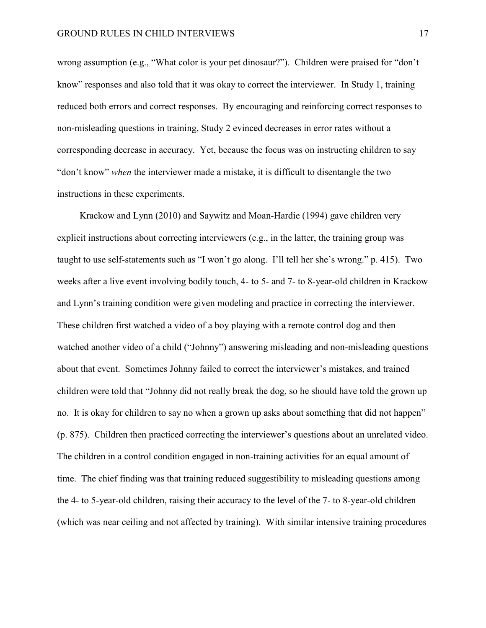wrong assumption (e.g., "What color is your pet dinosaur?"). Children were praised for "don't know" responses and also told that it was okay to correct the interviewer. In Study 1, training reduced both errors and correct responses. By encouraging and reinforcing correct responses to non-misleading questions in training, Study 2 evinced decreases in error rates without a corresponding decrease in accuracy. Yet, because the focus was on instructing children to say "don't know" *when* the interviewer made a mistake, it is difficult to disentangle the two instructions in these experiments.

Krackow and Lynn (2010) and Saywitz and Moan-Hardie (1994) gave children very explicit instructions about correcting interviewers (e.g., in the latter, the training group was taught to use self-statements such as "I won't go along. I'll tell her she's wrong." p. 415). Two weeks after a live event involving bodily touch, 4- to 5- and 7- to 8-year-old children in Krackow and Lynn's training condition were given modeling and practice in correcting the interviewer. These children first watched a video of a boy playing with a remote control dog and then watched another video of a child ("Johnny") answering misleading and non-misleading questions about that event. Sometimes Johnny failed to correct the interviewer's mistakes, and trained children were told that "Johnny did not really break the dog, so he should have told the grown up no. It is okay for children to say no when a grown up asks about something that did not happen" (p. 875). Children then practiced correcting the interviewer's questions about an unrelated video. The children in a control condition engaged in non-training activities for an equal amount of time. The chief finding was that training reduced suggestibility to misleading questions among the 4- to 5-year-old children, raising their accuracy to the level of the 7- to 8-year-old children (which was near ceiling and not affected by training). With similar intensive training procedures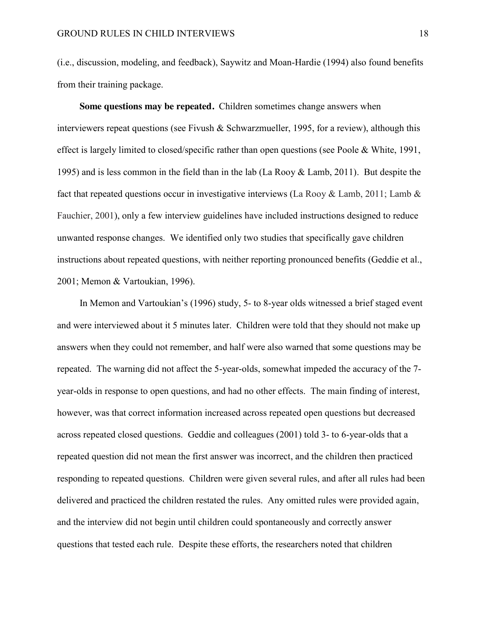(i.e., discussion, modeling, and feedback), Saywitz and Moan-Hardie (1994) also found benefits from their training package.

**Some questions may be repeated.** Children sometimes change answers when interviewers repeat questions (see Fivush & Schwarzmueller, 1995, for a review), although this effect is largely limited to closed/specific rather than open questions (see Poole & White, 1991, 1995) and is less common in the field than in the lab (La Rooy & Lamb, 2011). But despite the fact that repeated questions occur in investigative interviews (La Rooy & Lamb, 2011; Lamb  $\&$ Fauchier, 2001), only a few interview guidelines have included instructions designed to reduce unwanted response changes. We identified only two studies that specifically gave children instructions about repeated questions, with neither reporting pronounced benefits (Geddie et al., 2001; Memon & Vartoukian, 1996).

In Memon and Vartoukian's (1996) study, 5- to 8-year olds witnessed a brief staged event and were interviewed about it 5 minutes later. Children were told that they should not make up answers when they could not remember, and half were also warned that some questions may be repeated. The warning did not affect the 5-year-olds, somewhat impeded the accuracy of the 7 year-olds in response to open questions, and had no other effects. The main finding of interest, however, was that correct information increased across repeated open questions but decreased across repeated closed questions. Geddie and colleagues (2001) told 3- to 6-year-olds that a repeated question did not mean the first answer was incorrect, and the children then practiced responding to repeated questions. Children were given several rules, and after all rules had been delivered and practiced the children restated the rules. Any omitted rules were provided again, and the interview did not begin until children could spontaneously and correctly answer questions that tested each rule. Despite these efforts, the researchers noted that children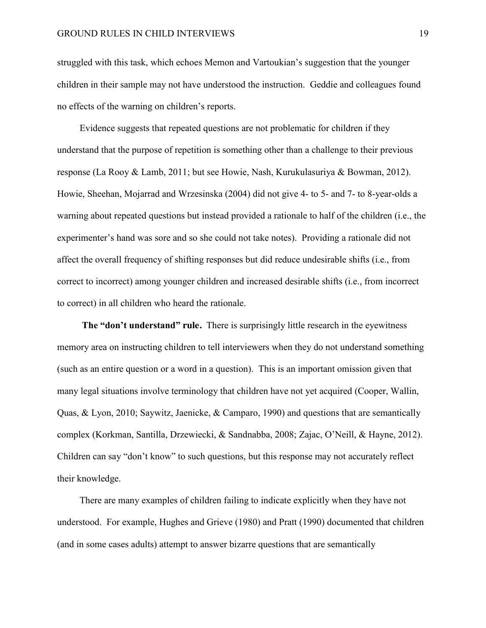struggled with this task, which echoes Memon and Vartoukian's suggestion that the younger children in their sample may not have understood the instruction. Geddie and colleagues found no effects of the warning on children's reports.

Evidence suggests that repeated questions are not problematic for children if they understand that the purpose of repetition is something other than a challenge to their previous response (La Rooy & Lamb, 2011; but see Howie, Nash, Kurukulasuriya & Bowman, 2012). Howie, Sheehan, Mojarrad and Wrzesinska (2004) did not give 4- to 5- and 7- to 8-year-olds a warning about repeated questions but instead provided a rationale to half of the children (i.e., the experimenter's hand was sore and so she could not take notes). Providing a rationale did not affect the overall frequency of shifting responses but did reduce undesirable shifts (i.e., from correct to incorrect) among younger children and increased desirable shifts (i.e., from incorrect to correct) in all children who heard the rationale.

**The "don't understand" rule.** There is surprisingly little research in the eyewitness memory area on instructing children to tell interviewers when they do not understand something (such as an entire question or a word in a question). This is an important omission given that many legal situations involve terminology that children have not yet acquired (Cooper, Wallin, Quas, & Lyon, 2010; Saywitz, Jaenicke, & Camparo, 1990) and questions that are semantically complex (Korkman, Santilla, Drzewiecki, & Sandnabba, 2008; Zajac, O'Neill, & Hayne, 2012). Children can say "don't know" to such questions, but this response may not accurately reflect their knowledge.

There are many examples of children failing to indicate explicitly when they have not understood. For example, Hughes and Grieve (1980) and Pratt (1990) documented that children (and in some cases adults) attempt to answer bizarre questions that are semantically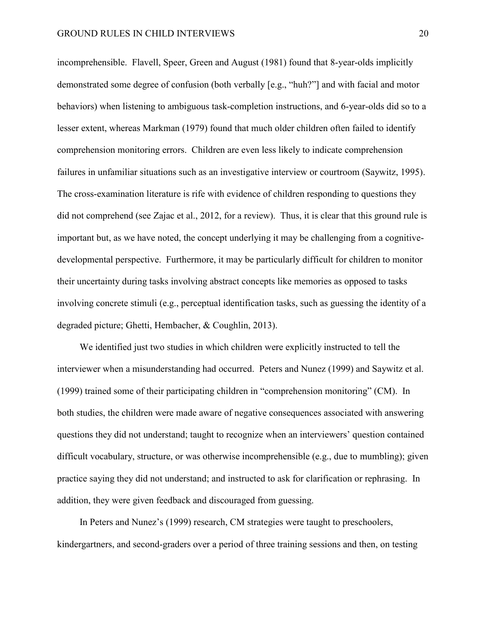incomprehensible. Flavell, Speer, Green and August (1981) found that 8-year-olds implicitly demonstrated some degree of confusion (both verbally [e.g., "huh?"] and with facial and motor behaviors) when listening to ambiguous task-completion instructions, and 6-year-olds did so to a lesser extent, whereas Markman (1979) found that much older children often failed to identify comprehension monitoring errors. Children are even less likely to indicate comprehension failures in unfamiliar situations such as an investigative interview or courtroom (Saywitz, 1995). The cross-examination literature is rife with evidence of children responding to questions they did not comprehend (see Zajac et al., 2012, for a review). Thus, it is clear that this ground rule is important but, as we have noted, the concept underlying it may be challenging from a cognitivedevelopmental perspective. Furthermore, it may be particularly difficult for children to monitor their uncertainty during tasks involving abstract concepts like memories as opposed to tasks involving concrete stimuli (e.g., perceptual identification tasks, such as guessing the identity of a degraded picture; Ghetti, Hembacher, & Coughlin, 2013).

We identified just two studies in which children were explicitly instructed to tell the interviewer when a misunderstanding had occurred. Peters and Nunez (1999) and Saywitz et al. (1999) trained some of their participating children in "comprehension monitoring" (CM). In both studies, the children were made aware of negative consequences associated with answering questions they did not understand; taught to recognize when an interviewers' question contained difficult vocabulary, structure, or was otherwise incomprehensible (e.g., due to mumbling); given practice saying they did not understand; and instructed to ask for clarification or rephrasing. In addition, they were given feedback and discouraged from guessing.

In Peters and Nunez's (1999) research, CM strategies were taught to preschoolers, kindergartners, and second-graders over a period of three training sessions and then, on testing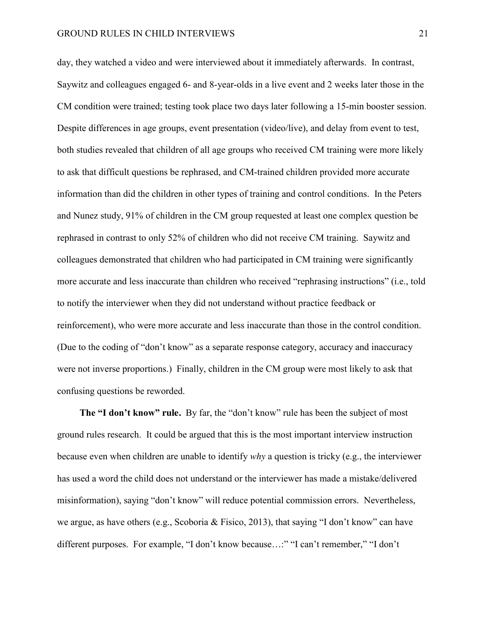day, they watched a video and were interviewed about it immediately afterwards. In contrast, Saywitz and colleagues engaged 6- and 8-year-olds in a live event and 2 weeks later those in the CM condition were trained; testing took place two days later following a 15-min booster session. Despite differences in age groups, event presentation (video/live), and delay from event to test, both studies revealed that children of all age groups who received CM training were more likely to ask that difficult questions be rephrased, and CM-trained children provided more accurate information than did the children in other types of training and control conditions. In the Peters and Nunez study, 91% of children in the CM group requested at least one complex question be rephrased in contrast to only 52% of children who did not receive CM training. Saywitz and colleagues demonstrated that children who had participated in CM training were significantly more accurate and less inaccurate than children who received "rephrasing instructions" (i.e., told to notify the interviewer when they did not understand without practice feedback or reinforcement), who were more accurate and less inaccurate than those in the control condition. (Due to the coding of "don't know" as a separate response category, accuracy and inaccuracy were not inverse proportions.) Finally, children in the CM group were most likely to ask that confusing questions be reworded.

**The "I don't know" rule.** By far, the "don't know" rule has been the subject of most ground rules research. It could be argued that this is the most important interview instruction because even when children are unable to identify *why* a question is tricky (e.g., the interviewer has used a word the child does not understand or the interviewer has made a mistake/delivered misinformation), saying "don't know" will reduce potential commission errors. Nevertheless, we argue, as have others (e.g., Scoboria & Fisico, 2013), that saying "I don't know" can have different purposes. For example, "I don't know because…:" "I can't remember," "I don't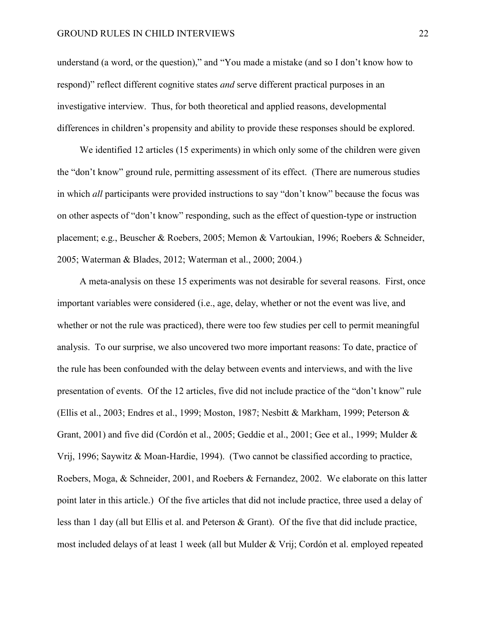understand (a word, or the question)," and "You made a mistake (and so I don't know how to respond)" reflect different cognitive states *and* serve different practical purposes in an investigative interview. Thus, for both theoretical and applied reasons, developmental differences in children's propensity and ability to provide these responses should be explored.

We identified 12 articles (15 experiments) in which only some of the children were given the "don't know" ground rule, permitting assessment of its effect. (There are numerous studies in which *all* participants were provided instructions to say "don't know" because the focus was on other aspects of "don't know" responding, such as the effect of question-type or instruction placement; e.g., Beuscher & Roebers, 2005; Memon & Vartoukian, 1996; Roebers & Schneider, 2005; Waterman & Blades, 2012; Waterman et al., 2000; 2004.)

A meta-analysis on these 15 experiments was not desirable for several reasons. First, once important variables were considered (i.e., age, delay, whether or not the event was live, and whether or not the rule was practiced), there were too few studies per cell to permit meaningful analysis. To our surprise, we also uncovered two more important reasons: To date, practice of the rule has been confounded with the delay between events and interviews, and with the live presentation of events. Of the 12 articles, five did not include practice of the "don't know" rule (Ellis et al., 2003; Endres et al., 1999; Moston, 1987; Nesbitt & Markham, 1999; Peterson & Grant, 2001) and five did (Cordón et al., 2005; Geddie et al., 2001; Gee et al., 1999; Mulder & Vrij, 1996; Saywitz & Moan-Hardie, 1994). (Two cannot be classified according to practice, Roebers, Moga, & Schneider, 2001, and Roebers & Fernandez, 2002. We elaborate on this latter point later in this article.) Of the five articles that did not include practice, three used a delay of less than 1 day (all but Ellis et al. and Peterson & Grant). Of the five that did include practice, most included delays of at least 1 week (all but Mulder & Vrij; Cordón et al. employed repeated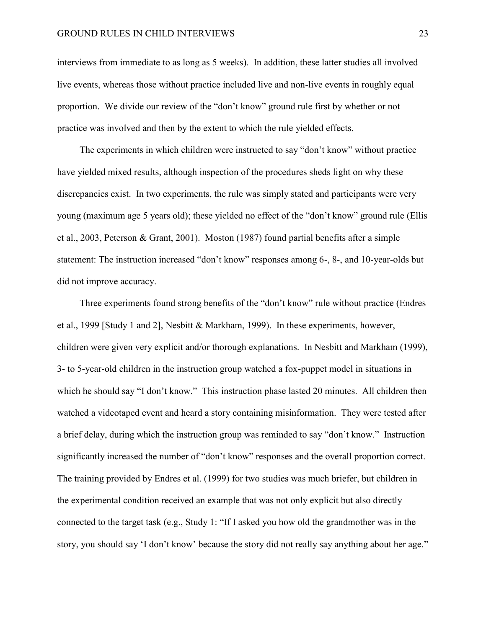interviews from immediate to as long as 5 weeks). In addition, these latter studies all involved live events, whereas those without practice included live and non-live events in roughly equal proportion. We divide our review of the "don't know" ground rule first by whether or not practice was involved and then by the extent to which the rule yielded effects.

The experiments in which children were instructed to say "don't know" without practice have yielded mixed results, although inspection of the procedures sheds light on why these discrepancies exist. In two experiments, the rule was simply stated and participants were very young (maximum age 5 years old); these yielded no effect of the "don't know" ground rule (Ellis et al., 2003, Peterson & Grant, 2001). Moston (1987) found partial benefits after a simple statement: The instruction increased "don't know" responses among 6-, 8-, and 10-year-olds but did not improve accuracy.

Three experiments found strong benefits of the "don't know" rule without practice (Endres et al., 1999 [Study 1 and 2], Nesbitt & Markham, 1999). In these experiments, however, children were given very explicit and/or thorough explanations. In Nesbitt and Markham (1999), 3- to 5-year-old children in the instruction group watched a fox-puppet model in situations in which he should say "I don't know." This instruction phase lasted 20 minutes. All children then watched a videotaped event and heard a story containing misinformation. They were tested after a brief delay, during which the instruction group was reminded to say "don't know." Instruction significantly increased the number of "don't know" responses and the overall proportion correct. The training provided by Endres et al. (1999) for two studies was much briefer, but children in the experimental condition received an example that was not only explicit but also directly connected to the target task (e.g., Study 1: "If I asked you how old the grandmother was in the story, you should say 'I don't know' because the story did not really say anything about her age."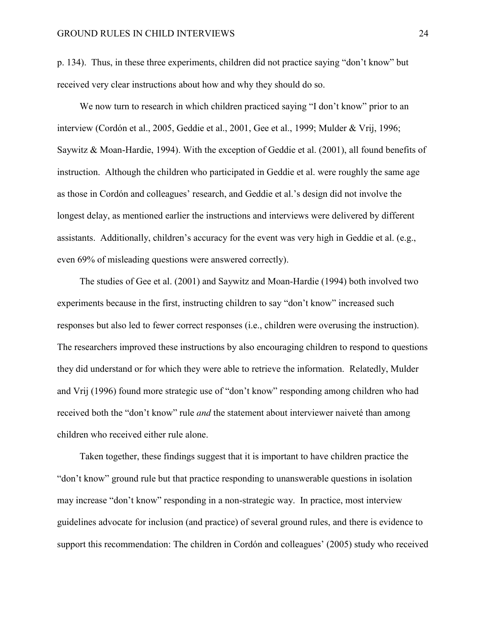p. 134). Thus, in these three experiments, children did not practice saying "don't know" but received very clear instructions about how and why they should do so.

We now turn to research in which children practiced saying "I don't know" prior to an interview (Cordón et al., 2005, Geddie et al., 2001, Gee et al., 1999; Mulder & Vrij, 1996; Saywitz & Moan-Hardie, 1994). With the exception of Geddie et al. (2001), all found benefits of instruction. Although the children who participated in Geddie et al. were roughly the same age as those in Cordón and colleagues' research, and Geddie et al.'s design did not involve the longest delay, as mentioned earlier the instructions and interviews were delivered by different assistants. Additionally, children's accuracy for the event was very high in Geddie et al. (e.g., even 69% of misleading questions were answered correctly).

The studies of Gee et al. (2001) and Saywitz and Moan-Hardie (1994) both involved two experiments because in the first, instructing children to say "don't know" increased such responses but also led to fewer correct responses (i.e., children were overusing the instruction). The researchers improved these instructions by also encouraging children to respond to questions they did understand or for which they were able to retrieve the information. Relatedly, Mulder and Vrij (1996) found more strategic use of "don't know" responding among children who had received both the "don't know" rule *and* the statement about interviewer naiveté than among children who received either rule alone.

Taken together, these findings suggest that it is important to have children practice the "don't know" ground rule but that practice responding to unanswerable questions in isolation may increase "don't know" responding in a non-strategic way. In practice, most interview guidelines advocate for inclusion (and practice) of several ground rules, and there is evidence to support this recommendation: The children in Cordón and colleagues' (2005) study who received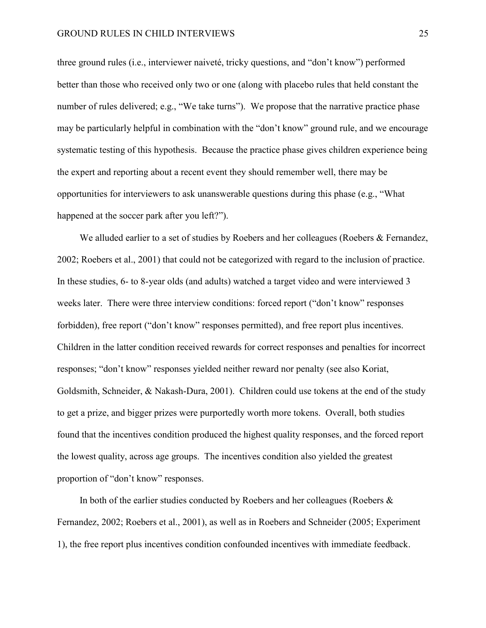three ground rules (i.e., interviewer naiveté, tricky questions, and "don't know") performed better than those who received only two or one (along with placebo rules that held constant the number of rules delivered; e.g., "We take turns"). We propose that the narrative practice phase may be particularly helpful in combination with the "don't know" ground rule, and we encourage systematic testing of this hypothesis. Because the practice phase gives children experience being the expert and reporting about a recent event they should remember well, there may be opportunities for interviewers to ask unanswerable questions during this phase (e.g., "What happened at the soccer park after you left?").

We alluded earlier to a set of studies by Roebers and her colleagues (Roebers & Fernandez, 2002; Roebers et al., 2001) that could not be categorized with regard to the inclusion of practice. In these studies, 6- to 8-year olds (and adults) watched a target video and were interviewed 3 weeks later. There were three interview conditions: forced report ("don't know" responses forbidden), free report ("don't know" responses permitted), and free report plus incentives. Children in the latter condition received rewards for correct responses and penalties for incorrect responses; "don't know" responses yielded neither reward nor penalty (see also Koriat, Goldsmith, Schneider, & Nakash-Dura, 2001). Children could use tokens at the end of the study to get a prize, and bigger prizes were purportedly worth more tokens. Overall, both studies found that the incentives condition produced the highest quality responses, and the forced report the lowest quality, across age groups. The incentives condition also yielded the greatest proportion of "don't know" responses.

In both of the earlier studies conducted by Roebers and her colleagues (Roebers  $\&$ Fernandez, 2002; Roebers et al., 2001), as well as in Roebers and Schneider (2005; Experiment 1), the free report plus incentives condition confounded incentives with immediate feedback.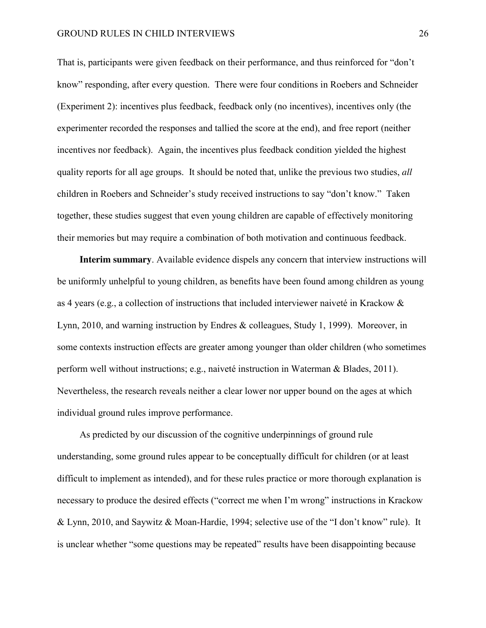That is, participants were given feedback on their performance, and thus reinforced for "don't know" responding, after every question. There were four conditions in Roebers and Schneider (Experiment 2): incentives plus feedback, feedback only (no incentives), incentives only (the experimenter recorded the responses and tallied the score at the end), and free report (neither incentives nor feedback). Again, the incentives plus feedback condition yielded the highest quality reports for all age groups. It should be noted that, unlike the previous two studies, *all* children in Roebers and Schneider's study received instructions to say "don't know." Taken together, these studies suggest that even young children are capable of effectively monitoring their memories but may require a combination of both motivation and continuous feedback.

**Interim summary**. Available evidence dispels any concern that interview instructions will be uniformly unhelpful to young children, as benefits have been found among children as young as 4 years (e.g., a collection of instructions that included interviewer naiveté in Krackow & Lynn, 2010, and warning instruction by Endres & colleagues, Study 1, 1999). Moreover, in some contexts instruction effects are greater among younger than older children (who sometimes perform well without instructions; e.g., naiveté instruction in Waterman & Blades, 2011). Nevertheless, the research reveals neither a clear lower nor upper bound on the ages at which individual ground rules improve performance.

As predicted by our discussion of the cognitive underpinnings of ground rule understanding, some ground rules appear to be conceptually difficult for children (or at least difficult to implement as intended), and for these rules practice or more thorough explanation is necessary to produce the desired effects ("correct me when I'm wrong" instructions in Krackow & Lynn, 2010, and Saywitz & Moan-Hardie, 1994; selective use of the "I don't know" rule). It is unclear whether "some questions may be repeated" results have been disappointing because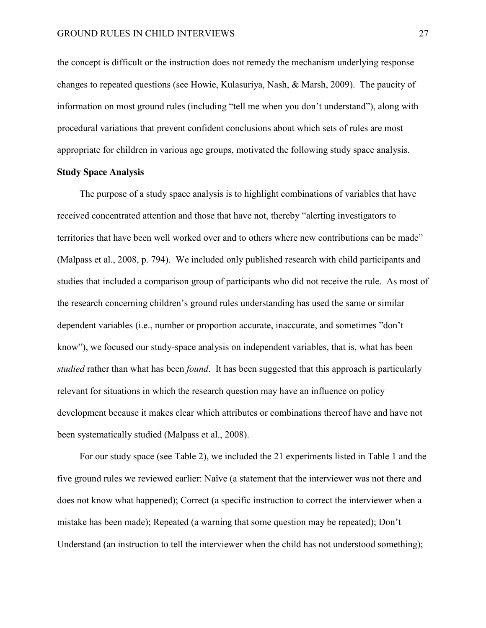the concept is difficult or the instruction does not remedy the mechanism underlying response changes to repeated questions (see Howie, Kulasuriya, Nash, & Marsh, 2009). The paucity of information on most ground rules (including "tell me when you don't understand"), along with procedural variations that prevent confident conclusions about which sets of rules are most appropriate for children in various age groups, motivated the following study space analysis.

#### **Study Space Analysis**

The purpose of a study space analysis is to highlight combinations of variables that have received concentrated attention and those that have not, thereby "alerting investigators to territories that have been well worked over and to others where new contributions can be made" (Malpass et al., 2008, p. 794). We included only published research with child participants and studies that included a comparison group of participants who did not receive the rule. As most of the research concerning children's ground rules understanding has used the same or similar dependent variables (i.e., number or proportion accurate, inaccurate, and sometimes "don't know"), we focused our study-space analysis on independent variables, that is, what has been *studied* rather than what has been *found*. It has been suggested that this approach is particularly relevant for situations in which the research question may have an influence on policy development because it makes clear which attributes or combinations thereof have and have not been systematically studied (Malpass et al., 2008).

For our study space (see Table 2), we included the 21 experiments listed in Table 1 and the five ground rules we reviewed earlier: Naïve (a statement that the interviewer was not there and does not know what happened); Correct (a specific instruction to correct the interviewer when a mistake has been made); Repeated (a warning that some question may be repeated); Don't Understand (an instruction to tell the interviewer when the child has not understood something);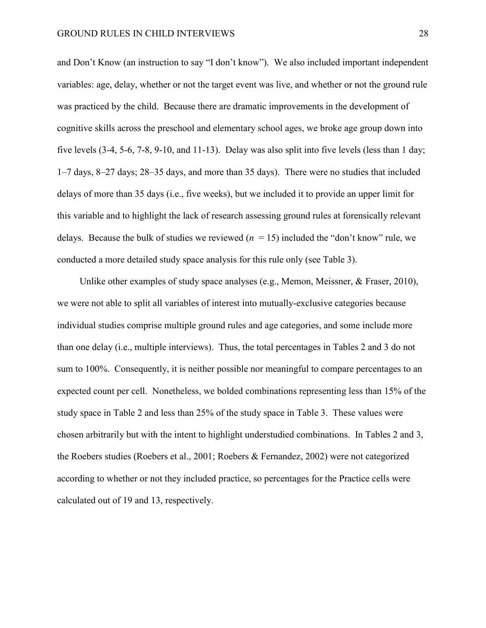and Don't Know (an instruction to say "I don't know"). We also included important independent variables: age, delay, whether or not the target event was live, and whether or not the ground rule was practiced by the child. Because there are dramatic improvements in the development of cognitive skills across the preschool and elementary school ages, we broke age group down into five levels (3-4, 5-6, 7-8, 9-10, and 11-13). Delay was also split into five levels (less than 1 day; 1–7 days, 8–27 days; 28–35 days, and more than 35 days). There were no studies that included delays of more than 35 days (i.e., five weeks), but we included it to provide an upper limit for this variable and to highlight the lack of research assessing ground rules at forensically relevant delays. Because the bulk of studies we reviewed  $(n = 15)$  included the "don't know" rule, we conducted a more detailed study space analysis for this rule only (see Table 3).

Unlike other examples of study space analyses (e.g., Memon, Meissner, & Fraser, 2010), we were not able to split all variables of interest into mutually-exclusive categories because individual studies comprise multiple ground rules and age categories, and some include more than one delay (i.e., multiple interviews). Thus, the total percentages in Tables 2 and 3 do not sum to 100%. Consequently, it is neither possible nor meaningful to compare percentages to an expected count per cell. Nonetheless, we bolded combinations representing less than 15% of the study space in Table 2 and less than 25% of the study space in Table 3. These values were chosen arbitrarily but with the intent to highlight understudied combinations. In Tables 2 and 3, the Roebers studies (Roebers et al., 2001; Roebers & Fernandez, 2002) were not categorized according to whether or not they included practice, so percentages for the Practice cells were calculated out of 19 and 13, respectively.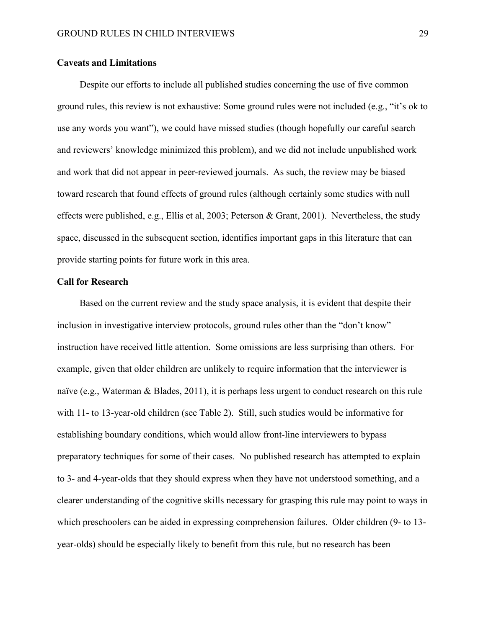#### **Caveats and Limitations**

Despite our efforts to include all published studies concerning the use of five common ground rules, this review is not exhaustive: Some ground rules were not included (e.g., "it's ok to use any words you want"), we could have missed studies (though hopefully our careful search and reviewers' knowledge minimized this problem), and we did not include unpublished work and work that did not appear in peer-reviewed journals. As such, the review may be biased toward research that found effects of ground rules (although certainly some studies with null effects were published, e.g., Ellis et al, 2003; Peterson & Grant, 2001). Nevertheless, the study space, discussed in the subsequent section, identifies important gaps in this literature that can provide starting points for future work in this area.

#### **Call for Research**

Based on the current review and the study space analysis, it is evident that despite their inclusion in investigative interview protocols, ground rules other than the "don't know" instruction have received little attention. Some omissions are less surprising than others. For example, given that older children are unlikely to require information that the interviewer is naïve (e.g., Waterman & Blades, 2011), it is perhaps less urgent to conduct research on this rule with 11- to 13-year-old children (see Table 2). Still, such studies would be informative for establishing boundary conditions, which would allow front-line interviewers to bypass preparatory techniques for some of their cases. No published research has attempted to explain to 3- and 4-year-olds that they should express when they have not understood something, and a clearer understanding of the cognitive skills necessary for grasping this rule may point to ways in which preschoolers can be aided in expressing comprehension failures. Older children (9- to 13 year-olds) should be especially likely to benefit from this rule, but no research has been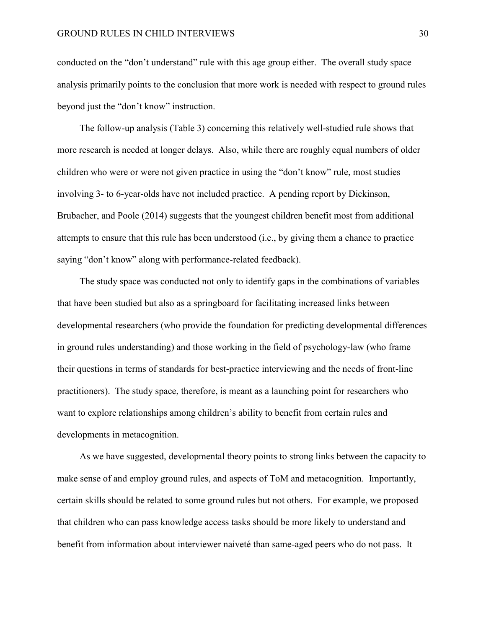conducted on the "don't understand" rule with this age group either. The overall study space analysis primarily points to the conclusion that more work is needed with respect to ground rules beyond just the "don't know" instruction.

The follow-up analysis (Table 3) concerning this relatively well-studied rule shows that more research is needed at longer delays. Also, while there are roughly equal numbers of older children who were or were not given practice in using the "don't know" rule, most studies involving 3- to 6-year-olds have not included practice. A pending report by Dickinson, Brubacher, and Poole (2014) suggests that the youngest children benefit most from additional attempts to ensure that this rule has been understood (i.e., by giving them a chance to practice saying "don't know" along with performance-related feedback).

The study space was conducted not only to identify gaps in the combinations of variables that have been studied but also as a springboard for facilitating increased links between developmental researchers (who provide the foundation for predicting developmental differences in ground rules understanding) and those working in the field of psychology-law (who frame their questions in terms of standards for best-practice interviewing and the needs of front-line practitioners). The study space, therefore, is meant as a launching point for researchers who want to explore relationships among children's ability to benefit from certain rules and developments in metacognition.

As we have suggested, developmental theory points to strong links between the capacity to make sense of and employ ground rules, and aspects of ToM and metacognition. Importantly, certain skills should be related to some ground rules but not others. For example, we proposed that children who can pass knowledge access tasks should be more likely to understand and benefit from information about interviewer naiveté than same-aged peers who do not pass. It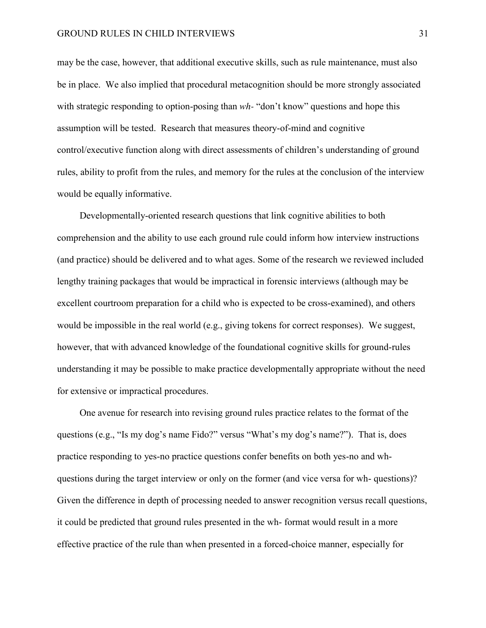may be the case, however, that additional executive skills, such as rule maintenance, must also be in place. We also implied that procedural metacognition should be more strongly associated with strategic responding to option-posing than *wh*-"don't know" questions and hope this assumption will be tested. Research that measures theory-of-mind and cognitive control/executive function along with direct assessments of children's understanding of ground rules, ability to profit from the rules, and memory for the rules at the conclusion of the interview would be equally informative.

Developmentally-oriented research questions that link cognitive abilities to both comprehension and the ability to use each ground rule could inform how interview instructions (and practice) should be delivered and to what ages. Some of the research we reviewed included lengthy training packages that would be impractical in forensic interviews (although may be excellent courtroom preparation for a child who is expected to be cross-examined), and others would be impossible in the real world (e.g., giving tokens for correct responses). We suggest, however, that with advanced knowledge of the foundational cognitive skills for ground-rules understanding it may be possible to make practice developmentally appropriate without the need for extensive or impractical procedures.

One avenue for research into revising ground rules practice relates to the format of the questions (e.g., "Is my dog's name Fido?" versus "What's my dog's name?"). That is, does practice responding to yes-no practice questions confer benefits on both yes-no and whquestions during the target interview or only on the former (and vice versa for wh- questions)? Given the difference in depth of processing needed to answer recognition versus recall questions, it could be predicted that ground rules presented in the wh- format would result in a more effective practice of the rule than when presented in a forced-choice manner, especially for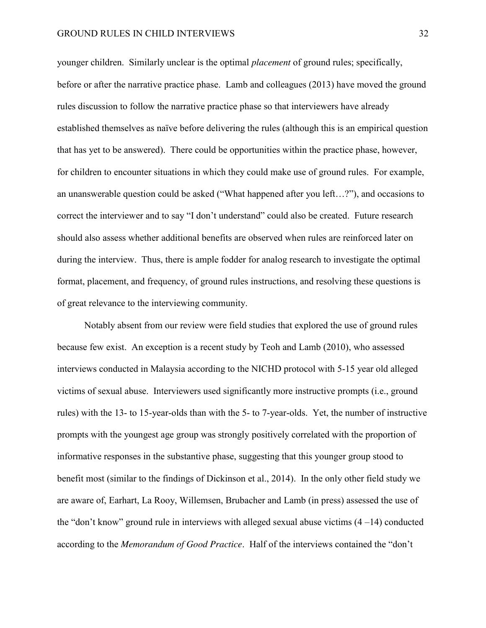#### GROUND RULES IN CHILD INTERVIEWS 32

younger children. Similarly unclear is the optimal *placement* of ground rules; specifically, before or after the narrative practice phase. Lamb and colleagues (2013) have moved the ground rules discussion to follow the narrative practice phase so that interviewers have already established themselves as naïve before delivering the rules (although this is an empirical question that has yet to be answered). There could be opportunities within the practice phase, however, for children to encounter situations in which they could make use of ground rules. For example, an unanswerable question could be asked ("What happened after you left…?"), and occasions to correct the interviewer and to say "I don't understand" could also be created. Future research should also assess whether additional benefits are observed when rules are reinforced later on during the interview. Thus, there is ample fodder for analog research to investigate the optimal format, placement, and frequency, of ground rules instructions, and resolving these questions is of great relevance to the interviewing community.

 Notably absent from our review were field studies that explored the use of ground rules because few exist. An exception is a recent study by Teoh and Lamb (2010), who assessed interviews conducted in Malaysia according to the NICHD protocol with 5-15 year old alleged victims of sexual abuse. Interviewers used significantly more instructive prompts (i.e., ground rules) with the 13- to 15-year-olds than with the 5- to 7-year-olds. Yet, the number of instructive prompts with the youngest age group was strongly positively correlated with the proportion of informative responses in the substantive phase, suggesting that this younger group stood to benefit most (similar to the findings of Dickinson et al., 2014). In the only other field study we are aware of, Earhart, La Rooy, Willemsen, Brubacher and Lamb (in press) assessed the use of the "don't know" ground rule in interviews with alleged sexual abuse victims  $(4-14)$  conducted according to the *Memorandum of Good Practice*. Half of the interviews contained the "don't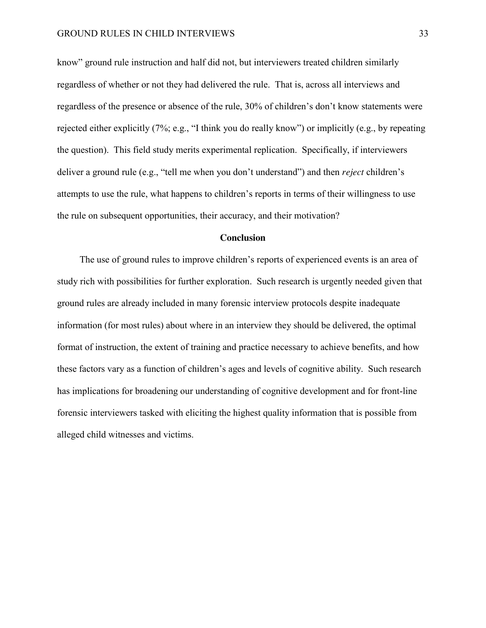know" ground rule instruction and half did not, but interviewers treated children similarly regardless of whether or not they had delivered the rule. That is, across all interviews and regardless of the presence or absence of the rule, 30% of children's don't know statements were rejected either explicitly (7%; e.g., "I think you do really know") or implicitly (e.g., by repeating the question). This field study merits experimental replication. Specifically, if interviewers deliver a ground rule (e.g., "tell me when you don't understand") and then *reject* children's attempts to use the rule, what happens to children's reports in terms of their willingness to use the rule on subsequent opportunities, their accuracy, and their motivation?

### **Conclusion**

The use of ground rules to improve children's reports of experienced events is an area of study rich with possibilities for further exploration. Such research is urgently needed given that ground rules are already included in many forensic interview protocols despite inadequate information (for most rules) about where in an interview they should be delivered, the optimal format of instruction, the extent of training and practice necessary to achieve benefits, and how these factors vary as a function of children's ages and levels of cognitive ability. Such research has implications for broadening our understanding of cognitive development and for front-line forensic interviewers tasked with eliciting the highest quality information that is possible from alleged child witnesses and victims.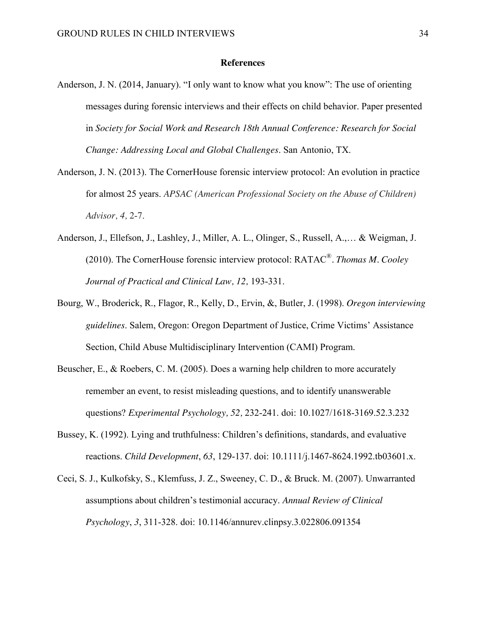#### **References**

- Anderson, J. N. (2014, January). "I only want to know what you know": The use of orienting messages during forensic interviews and their effects on child behavior. Paper presented in *Society for Social Work and Research 18th Annual Conference: Research for Social Change: Addressing Local and Global Challenges*. San Antonio, TX.
- Anderson, J. N. (2013). The CornerHouse forensic interview protocol: An evolution in practice for almost 25 years. *APSAC (American Professional Society on the Abuse of Children) Advisor, 4,* 2-7.
- Anderson, J., Ellefson, J., Lashley, J., Miller, A. L., Olinger, S., Russell, A.,… & Weigman, J. (2010). The CornerHouse forensic interview protocol: RATAC®*. Thomas M. Cooley Journal of Practical and Clinical Law, 12,* 193-331.
- Bourg, W., Broderick, R., Flagor, R., Kelly, D., Ervin, &, Butler, J. (1998). *Oregon interviewing guidelines*. Salem, Oregon: Oregon Department of Justice, Crime Victims' Assistance Section, Child Abuse Multidisciplinary Intervention (CAMI) Program.
- Beuscher, E., & Roebers, C. M. (2005). Does a warning help children to more accurately remember an event, to resist misleading questions, and to identify unanswerable questions? *Experimental Psychology, 52,* 232-241. doi: 10.1027/1618-3169.52.3.232
- Bussey, K. (1992). Lying and truthfulness: Children's definitions, standards, and evaluative reactions. *Child Development*, *63*, 129-137. doi: 10.1111/j.1467-8624.1992.tb03601.x.
- Ceci, S. J., Kulkofsky, S., Klemfuss, J. Z., Sweeney, C. D., & Bruck. M. (2007). Unwarranted assumptions about children's testimonial accuracy. *Annual Review of Clinical Psychology*, *3*, 311-328. doi: 10.1146/annurev.clinpsy.3.022806.091354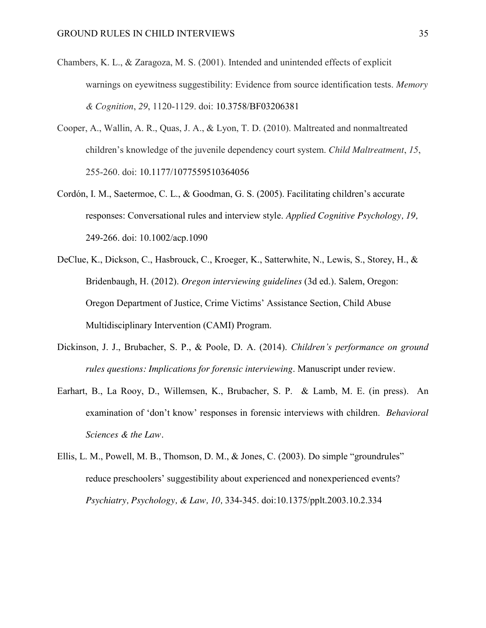- Chambers, K. L., & Zaragoza, M. S. (2001). Intended and unintended effects of explicit warnings on eyewitness suggestibility: Evidence from source identification tests. *Memory & Cognition*, *29*, 1120-1129. doi: 10.3758/BF03206381
- Cooper, A., Wallin, A. R., Quas, J. A., & Lyon, T. D. (2010). Maltreated and nonmaltreated children's knowledge of the juvenile dependency court system. *Child Maltreatment*, *15*, 255-260. doi: 10.1177/1077559510364056
- Cordón, I. M., Saetermoe, C. L., & Goodman, G. S. (2005). Facilitating children's accurate responses: Conversational rules and interview style. *Applied Cognitive Psychology, 19,*  249-266. doi: 10.1002/acp.1090
- DeClue, K., Dickson, C., Hasbrouck, C., Kroeger, K., Satterwhite, N., Lewis, S., Storey, H., & Bridenbaugh, H. (2012). *Oregon interviewing guidelines* (3d ed.). Salem, Oregon: Oregon Department of Justice, Crime Victims' Assistance Section, Child Abuse Multidisciplinary Intervention (CAMI) Program.
- Dickinson, J. J., Brubacher, S. P., & Poole, D. A. (2014). *Children's performance on ground rules questions: Implications for forensic interviewing*. Manuscript under review.
- Earhart, B., La Rooy, D., Willemsen, K., Brubacher, S. P.& Lamb, M. E. (in press). An examination of 'don't know' responses in forensic interviews with children. *Behavioral Sciences & the Law.*
- Ellis, L. M., Powell, M. B., Thomson, D. M., & Jones, C. (2003). Do simple "groundrules" reduce preschoolers' suggestibility about experienced and nonexperienced events? *Psychiatry, Psychology, & Law, 10,* 334-345. doi:10.1375/pplt.2003.10.2.334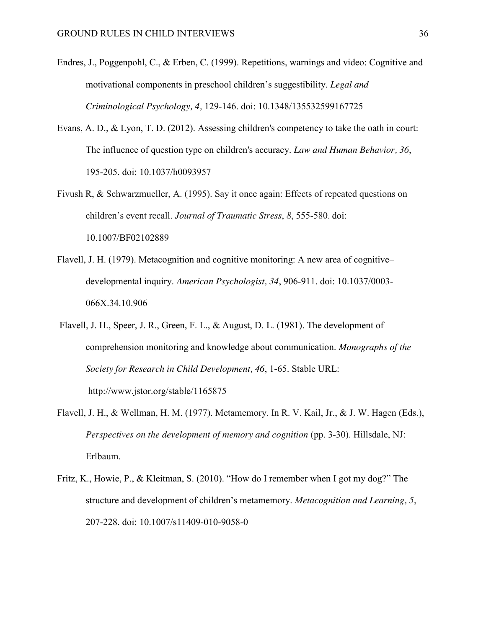- Endres, J., Poggenpohl, C., & Erben, C. (1999). Repetitions, warnings and video: Cognitive and motivational components in preschool children's suggestibility. *Legal and Criminological Psychology, 4,* 129-146. doi: 10.1348/135532599167725
- Evans, A. D., & Lyon, T. D. (2012). Assessing children's competency to take the oath in court: The influence of question type on children's accuracy. *Law and Human Behavior, 36*, 195-205. doi: 10.1037/h0093957
- Fivush R, & Schwarzmueller, A. (1995). Say it once again: Effects of repeated questions on children's event recall. *Journal of Traumatic Stress*, *8*, 555-580. [doi:](http://dx.doi.org.libproxy.wlu.ca/10.1007/BF02102889)  [10.1007/BF02102889](http://dx.doi.org.libproxy.wlu.ca/10.1007/BF02102889)
- Flavell, J. H. (1979). Metacognition and cognitive monitoring: A new area of cognitive– developmental inquiry. *American Psychologist, 34*, 906-911. doi: 10.1037/0003- 066X.34.10.906
- Flavell, J. H., Speer, J. R., Green, F. L., & August, D. L. (1981). The development of comprehension monitoring and knowledge about communication. *Monographs of the Society for Research in Child Development, 46*, 1-65. Stable URL: http://www.jstor.org/stable/1165875
- Flavell, J. H., & Wellman, H. M. (1977). Metamemory. In R. V. Kail, Jr., & J. W. Hagen (Eds.), *Perspectives on the development of memory and cognition* (pp. 3-30). Hillsdale, NJ: Erlbaum.
- Fritz, K., Howie, P., & Kleitman, S. (2010). "How do I remember when I got my dog?" The structure and development of children's metamemory. *Metacognition and Learning, 5*, 207-228. doi: 10.1007/s11409-010-9058-0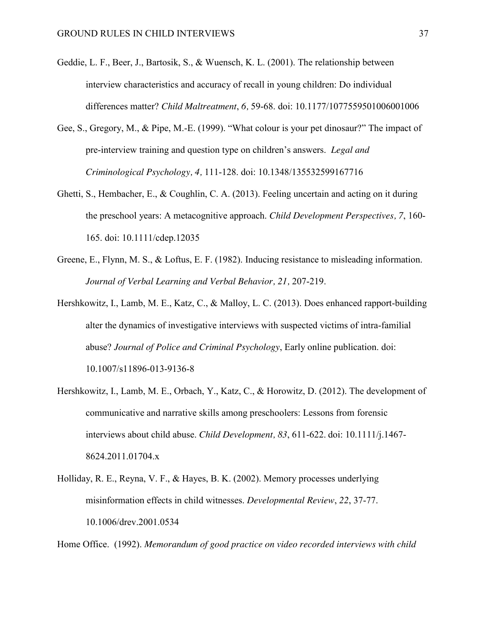- Geddie, L. F., Beer, J., Bartosik, S., & Wuensch, K. L. (2001). The relationship between interview characteristics and accuracy of recall in young children: Do individual differences matter? *Child Maltreatment*, *6,* 59-68. doi: 10.1177/1077559501006001006
- Gee, S., Gregory, M., & Pipe, M.-E. (1999). "What colour is your pet dinosaur?" The impact of pre-interview training and question type on children's answers. *Legal and Criminological Psychology, 4,* 111-128. doi: 10.1348/135532599167716
- Ghetti, S., Hembacher, E., & Coughlin, C. A. (2013). Feeling uncertain and acting on it during the preschool years: A metacognitive approach. *Child Development Perspectives, 7*, 160- 165. doi: 10.1111/cdep.12035
- Greene, E., Flynn, M. S., & Loftus, E. F. (1982). Inducing resistance to misleading information. *Journal of Verbal Learning and Verbal Behavior, 21,* 207-219.
- Hershkowitz, I., Lamb, M. E., Katz, C., & Malloy, L. C. (2013). Does enhanced rapport-building alter the dynamics of investigative interviews with suspected victims of intra-familial abuse? *Journal of Police and Criminal Psychology*, Early online publication. doi: 10.1007/s11896-013-9136-8
- Hershkowitz, I., Lamb, M. E., Orbach, Y., Katz, C., & Horowitz, D. (2012). The development of communicative and narrative skills among preschoolers: Lessons from forensic interviews about child abuse. *Child Development, 83*, 611-622. doi: 10.1111/j.1467- 8624.2011.01704.x
- Holliday, R. E., Reyna, V. F., & Hayes, B. K. (2002). Memory processes underlying misinformation effects in child witnesses. *Developmental Review*, *22*, 37-77. 10.1006/drev.2001.0534

Home Office. (1992). *Memorandum of good practice on video recorded interviews with child*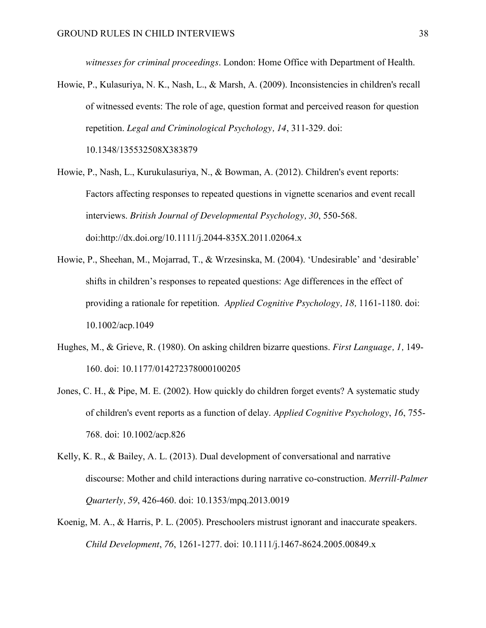*witnesses for criminal proceedings*. London: Home Office with Department of Health.

Howie, P., Kulasuriya, N. K., Nash, L., & Marsh, A. (2009). Inconsistencies in children's recall of witnessed events: The role of age, question format and perceived reason for question repetition. *Legal and Criminological Psychology, 14*, 311-329. doi: 10.1348/135532508X383879

Howie, P., Nash, L., Kurukulasuriya, N., & Bowman, A. (2012). Children's event reports: Factors affecting responses to repeated questions in vignette scenarios and event recall interviews. *British Journal of Developmental Psychology, 30*, 550-568.

doi:http://dx.doi.org/10.1111/j.2044-835X.2011.02064.x

- Howie, P., Sheehan, M., Mojarrad, T., & Wrzesinska, M. (2004). 'Undesirable' and 'desirable' shifts in children's responses to repeated questions: Age differences in the effect of providing a rationale for repetition. *Applied Cognitive Psychology, 18,* 1161-1180. doi: 10.1002/acp.1049
- Hughes, M., & Grieve, R. (1980). On asking children bizarre questions. *First Language, 1,* 149- 160. doi: 10.1177/014272378000100205
- Jones, C. H., & Pipe, M. E. (2002). How quickly do children forget events? A systematic study of children's event reports as a function of delay. *Applied Cognitive Psychology*, *16*, 755- 768. doi: 10.1002/acp.826
- Kelly, K. R., & Bailey, A. L. (2013). Dual development of conversational and narrative discourse: Mother and child interactions during narrative co-construction. *Merrill-Palmer Quarterly, 59*, 426-460. doi: 10.1353/mpq.2013.0019
- Koenig, M. A., & Harris, P. L. (2005). Preschoolers mistrust ignorant and inaccurate speakers. *Child Development*, *76*, 1261-1277. doi: 10.1111/j.1467-8624.2005.00849.x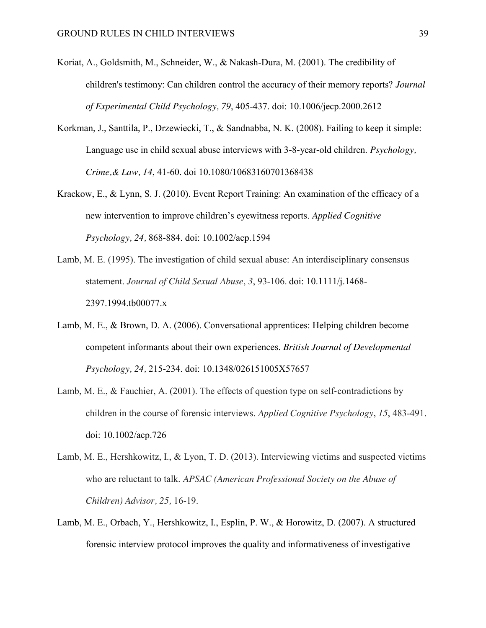- Koriat, A., Goldsmith, M., Schneider, W., & Nakash-Dura, M. (2001). The credibility of children's testimony: Can children control the accuracy of their memory reports? *Journal of Experimental Child Psychology, 79*, 405-437. doi: 10.1006/jecp.2000.2612
- Korkman, J., Santtila, P., Drzewiecki, T., & Sandnabba, N. K. (2008). Failing to keep it simple: Language use in child sexual abuse interviews with 3-8-year-old children. *Psychology, Crime,& Law, 14*, 41-60. doi 10.1080/10683160701368438
- Krackow, E., & Lynn, S. J. (2010). Event Report Training: An examination of the efficacy of a new intervention to improve children's eyewitness reports. *Applied Cognitive Psychology, 24,* 868-884. doi: 10.1002/acp.1594
- Lamb, M. E. (1995). The investigation of child sexual abuse: An interdisciplinary consensus statement. *Journal of Child Sexual Abuse*, *3*, 93-106. doi: 10.1111/j.1468- 2397.1994.tb00077.x
- Lamb, M. E., & Brown, D. A. (2006). Conversational apprentices: Helping children become competent informants about their own experiences. *British Journal of Developmental Psychology, 24,* 215-234. doi: 10.1348/026151005X57657
- Lamb, M. E., & Fauchier, A. (2001). The effects of question type on self-contradictions by children in the course of forensic interviews. *Applied Cognitive Psychology*, *15*, 483-491. doi: 10.1002/acp.726
- Lamb, M. E., Hershkowitz, I., & Lyon, T. D. (2013). Interviewing victims and suspected victims who are reluctant to talk. *APSAC (American Professional Society on the Abuse of Children) Advisor, 25,* 16-19.
- Lamb, M. E., Orbach, Y., Hershkowitz, I., Esplin, P. W., & Horowitz, D. (2007). A structured forensic interview protocol improves the quality and informativeness of investigative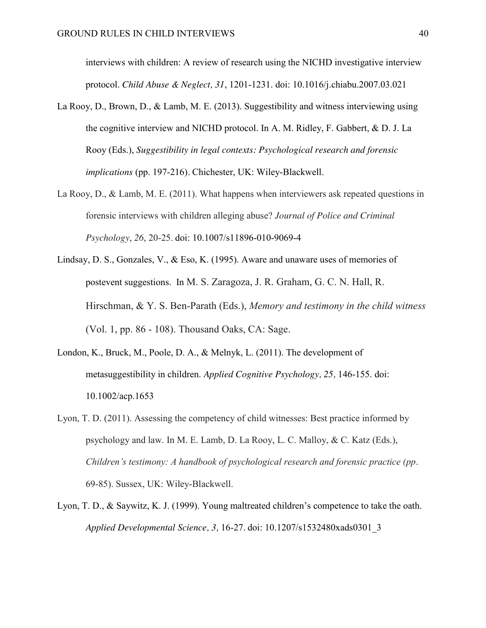interviews with children: A review of research using the NICHD investigative interview protocol. *Child Abuse & Neglect, 31*, 1201-1231. doi: 10.1016/j.chiabu.2007.03.021

- La Rooy, D., Brown, D., & Lamb, M. E. (2013). Suggestibility and witness interviewing using the cognitive interview and NICHD protocol. In A. M. Ridley, F. Gabbert, & D. J. La Rooy (Eds.), *Suggestibility in legal contexts: Psychological research and forensic implications* (pp. 197-216)*.* Chichester, UK: Wiley-Blackwell.
- La Rooy, D., & Lamb, M. E. (2011). What happens when interviewers ask repeated questions in forensic interviews with children alleging abuse? *Journal of Police and Criminal Psychology*, *26*, 20-25. doi: 10.1007/s11896-010-9069-4
- Lindsay, D. S., Gonzales, V., & Eso, K. (1995). Aware and unaware uses of memories of postevent suggestions. In M. S. Zaragoza, J. R. Graham, G. C. N. Hall, R. Hirschman, & Y. S. Ben-Parath (Eds.), *Memory and testimony in the child witness*  (Vol. 1, pp. 86 - 108). Thousand Oaks, CA: Sage.
- London, K., Bruck, M., Poole, D. A., & Melnyk, L. (2011). The development of metasuggestibility in children. *Applied Cognitive Psychology, 25,* 146-155. doi: 10.1002/acp.1653
- Lyon, T. D. (2011). Assessing the competency of child witnesses: Best practice informed by psychology and law. In M. E. Lamb, D. La Rooy, L. C. Malloy, & C. Katz (Eds.), *Children's testimony: A handbook of psychological research and forensic practice (pp.*  69-85). Sussex, UK: Wiley-Blackwell.
- Lyon, T. D., & Saywitz, K. J. (1999). Young maltreated children's competence to take the oath. *Applied Developmental Science, 3,* 16-27. doi: 10.1207/s1532480xads0301\_3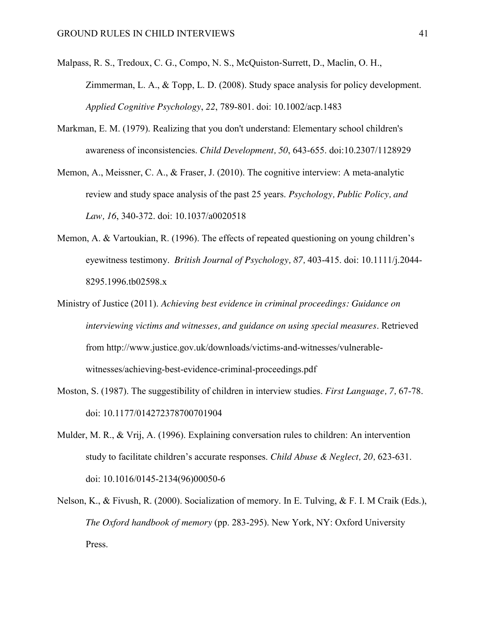- Malpass, R. S., Tredoux, C. G., Compo, N. S., McQuiston-Surrett, D., Maclin, O. H., Zimmerman, L. A., & Topp, L. D. (2008). Study space analysis for policy development. *Applied Cognitive Psychology*, *22*, 789-801. doi: 10.1002/acp.1483
- Markman, E. M. (1979). Realizing that you don't understand: Elementary school children's awareness of inconsistencies. *Child Development, 50*, 643-655. doi:10.2307/1128929
- Memon, A., Meissner, C. A., & Fraser, J. (2010). The cognitive interview: A meta-analytic review and study space analysis of the past 25 years. *Psychology, Public Policy, and Law, 16*, 340-372. doi: 10.1037/a0020518
- Memon, A. & Vartoukian, R. (1996). The effects of repeated questioning on young children's eyewitness testimony. *British Journal of Psychology, 87,* 403-415. doi: 10.1111/j.2044- 8295.1996.tb02598.x
- Ministry of Justice (2011). *Achieving best evidence in criminal proceedings: Guidance on interviewing victims and witnesses, and guidance on using special measures*. Retrieved from http://www.justice.gov.uk/downloads/victims-and-witnesses/vulnerablewitnesses/achieving-best-evidence-criminal-proceedings.pdf
- Moston, S. (1987). The suggestibility of children in interview studies. *First Language, 7,* 67-78. doi: 10.1177/014272378700701904
- Mulder, M. R., & Vrij, A. (1996). Explaining conversation rules to children: An intervention study to facilitate children's accurate responses. *Child Abuse & Neglect, 20,* 623-631. doi: 10.1016/0145-2134(96)00050-6
- Nelson, K., & Fivush, R. (2000). Socialization of memory. In E. Tulving, & F. I. M Craik (Eds.), *The Oxford handbook of memory* (pp. 283-295). New York, NY: Oxford University Press.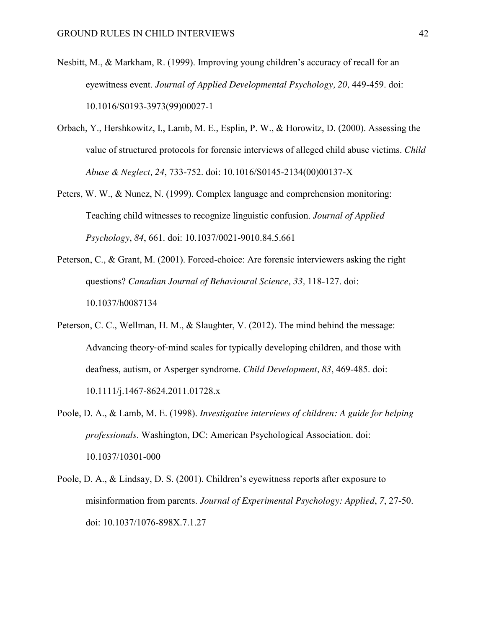- Nesbitt, M., & Markham, R. (1999). Improving young children's accuracy of recall for an eyewitness event. *Journal of Applied Developmental Psychology*, 20, 449-459. doi: 10.1016/S0193-3973(99)00027-1
- Orbach, Y., Hershkowitz, I., Lamb, M. E., Esplin, P. W., & Horowitz, D. (2000). Assessing the value of structured protocols for forensic interviews of alleged child abuse victims. *Child Abuse & Neglect, 24*, 733-752. doi: 10.1016/S0145-2134(00)00137-X
- Peters, W. W., & Nunez, N. (1999). Complex language and comprehension monitoring: Teaching child witnesses to recognize linguistic confusion. *Journal of Applied Psychology*, *84*, 661. doi: 10.1037/0021-9010.84.5.661
- Peterson, C., & Grant, M. (2001). Forced-choice: Are forensic interviewers asking the right questions? *Canadian Journal of Behavioural Science, 33,* 118-127. doi: 10.1037/h0087134
- Peterson, C. C., Wellman, H. M., & Slaughter, V. (2012). The mind behind the message: Advancing theory-of-mind scales for typically developing children, and those with deafness, autism, or Asperger syndrome. *Child Development, 83*, 469-485. doi: 10.1111/j.1467-8624.2011.01728.x
- Poole, D. A., & Lamb, M. E. (1998). *Investigative interviews of children: A guide for helping professionals*. Washington, DC: American Psychological Association. doi: 10.1037/10301-000
- Poole, D. A., & Lindsay, D. S. (2001). Children's eyewitness reports after exposure to misinformation from parents. *Journal of Experimental Psychology: Applied*, *7*, 27-50. doi: 10.1037/1076-898X.7.1.27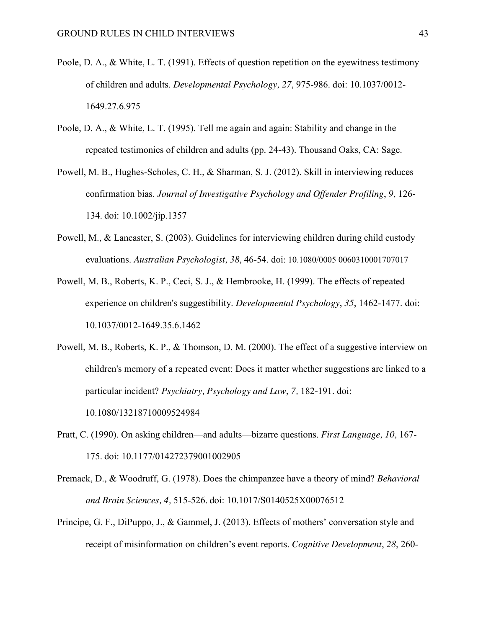- Poole, D. A., & White, L. T. (1991). Effects of question repetition on the eyewitness testimony of children and adults. *Developmental Psychology, 27*, 975-986. doi: 10.1037/0012- 1649.27.6.975
- Poole, D. A., & White, L. T. (1995). Tell me again and again: Stability and change in the repeated testimonies of children and adults (pp. 24-43). Thousand Oaks, CA: Sage.
- Powell, M. B., Hughes-Scholes, C. H., & Sharman, S. J. (2012). Skill in interviewing reduces confirmation bias. *Journal of Investigative Psychology and Offender Profiling*, *9*, 126- 134. doi: 10.1002/jip.1357
- Powell, M., & Lancaster, S. (2003). Guidelines for interviewing children during child custody evaluations. *Australian Psychologist, 38*, 46-54. doi: 10.1080/0005 0060310001707017
- Powell, M. B., Roberts, K. P., Ceci, S. J., & Hembrooke, H. (1999). The effects of repeated experience on children's suggestibility. *Developmental Psychology*, *35*, 1462-1477. doi: 10.1037/0012-1649.35.6.1462
- Powell, M. B., Roberts, K. P., & Thomson, D. M. (2000). The effect of a suggestive interview on children's memory of a repeated event: Does it matter whether suggestions are linked to a particular incident? *Psychiatry, Psychology and Law*, *7,* 182-191. doi: 10.1080/13218710009524984
- Pratt, C. (1990). On asking children—and adults—bizarre questions. *First Language, 10,* 167- 175. doi: 10.1177/014272379001002905
- Premack, D., & Woodruff, G. (1978). Does the chimpanzee have a theory of mind? *Behavioral and Brain Sciences, 4,* 515-526. doi: 10.1017/S0140525X00076512
- Principe, G. F., DiPuppo, J., & Gammel, J. (2013). Effects of mothers' conversation style and receipt of misinformation on children's event reports. *Cognitive Development*, *28*, 260-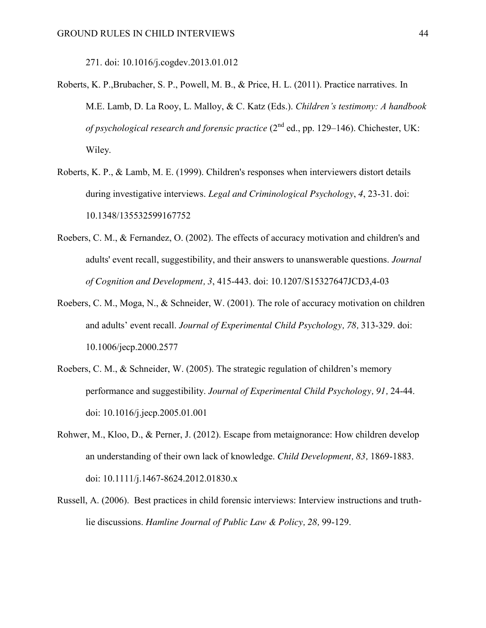271. doi: 10.1016/j.cogdev.2013.01.012

- Roberts, K. P.,Brubacher, S. P., Powell, M. B., & Price, H. L. (2011). Practice narratives. In M.E. Lamb, D. La Rooy, L. Malloy, & C. Katz (Eds.). *Children's testimony: A handbook of psychological research and forensic practice* (2<sup>nd</sup> ed., pp. 129–146). Chichester, UK: Wiley.
- Roberts, K. P., & Lamb, M. E. (1999). Children's responses when interviewers distort details during investigative interviews. *Legal and Criminological Psychology*, *4*, 23-31. doi: 10.1348/135532599167752
- Roebers, C. M., & Fernandez, O. (2002). The effects of accuracy motivation and children's and adults' event recall, suggestibility, and their answers to unanswerable questions. *Journal of Cognition and Development, 3*, 415-443. doi: 10.1207/S15327647JCD3,4-03
- Roebers, C. M., Moga, N., & Schneider, W. (2001). The role of accuracy motivation on children and adults' event recall. *Journal of Experimental Child Psychology, 78,* 313-329. doi: 10.1006/jecp.2000.2577
- Roebers, C. M., & Schneider, W. (2005). The strategic regulation of children's memory performance and suggestibility. *Journal of Experimental Child Psychology, 91,* 24-44. doi: 10.1016/j.jecp.2005.01.001
- Rohwer, M., Kloo, D., & Perner, J. (2012). Escape from metaignorance: How children develop an understanding of their own lack of knowledge. *Child Development, 83,* 1869-1883. doi: 10.1111/j.1467-8624.2012.01830.x
- Russell, A. (2006). Best practices in child forensic interviews: Interview instructions and truthlie discussions. *Hamline Journal of Public Law & Policy, 28,* 99-129.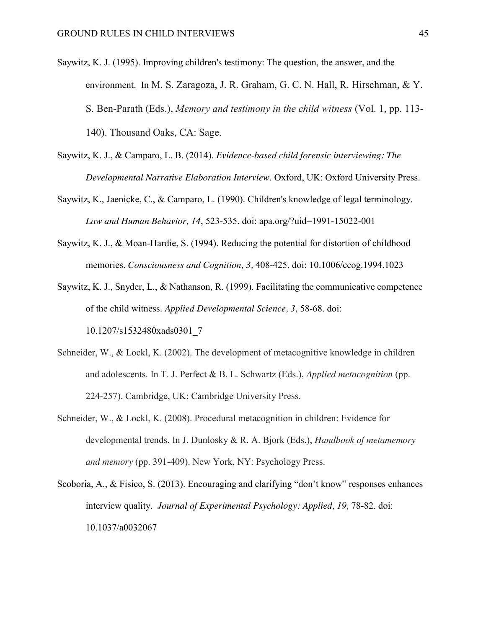- Saywitz, K. J. (1995). Improving children's testimony: The question, the answer, and the environment. In M. S. Zaragoza, J. R. Graham, G. C. N. Hall, R. Hirschman, & Y. S. Ben-Parath (Eds.), *Memory and testimony in the child witness* (Vol. 1, pp. 113- 140). Thousand Oaks, CA: Sage.
- Saywitz, K. J., & Camparo, L. B. (2014). *Evidence-based child forensic interviewing: The Developmental Narrative Elaboration Interview*. Oxford, UK: Oxford University Press.
- Saywitz, K., Jaenicke, C., & Camparo, L. (1990). Children's knowledge of legal terminology. *Law and Human Behavior, 14*, 523-535. doi: apa.org/?uid=1991-15022-001
- Saywitz, K. J., & Moan-Hardie, S. (1994). Reducing the potential for distortion of childhood memories. *Consciousness and Cognition, 3,* 408-425. doi: 10.1006/ccog.1994.1023
- Saywitz, K. J., Snyder, L., & Nathanson, R. (1999). Facilitating the communicative competence of the child witness. *Applied Developmental Science, 3,* 58-68. doi: 10.1207/s1532480xads0301\_7
- Schneider, W., & Lockl, K. (2002). The development of metacognitive knowledge in children and adolescents. In T. J. Perfect & B. L. Schwartz (Eds.), *Applied metacognition* (pp. 224-257). Cambridge, UK: Cambridge University Press.
- Schneider, W., & Lockl, K. (2008). Procedural metacognition in children: Evidence for developmental trends. In J. Dunlosky & R. A. Bjork (Eds.), *Handbook of metamemory and memory* (pp. 391-409). New York, NY: Psychology Press.
- Scoboria, A., & Fisico, S. (2013). Encouraging and clarifying "don't know" responses enhances interview quality. *Journal of Experimental Psychology: Applied, 19, 78-82. doi:* 10.1037/a0032067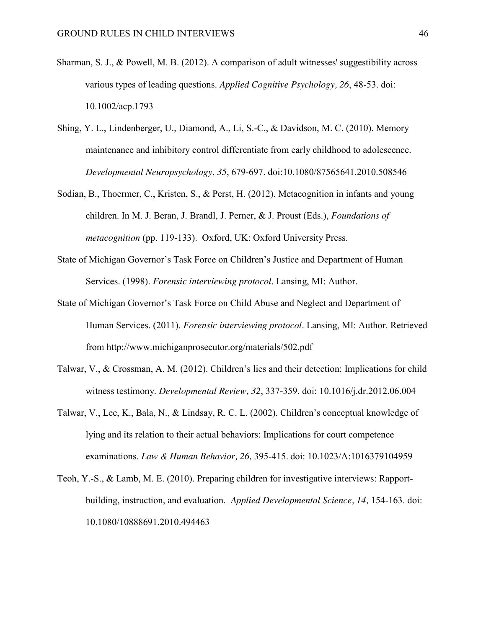- Sharman, S. J., & Powell, M. B. (2012). A comparison of adult witnesses' suggestibility across various types of leading questions. *Applied Cognitive Psychology, 26*, 48-53. doi: 10.1002/acp.1793
- Shing, Y. L., Lindenberger, U., Diamond, A., Li, S.-C., & Davidson, M. C. (2010). Memory maintenance and inhibitory control differentiate from early childhood to adolescence. *Developmental Neuropsychology*, *35*, 679-697. doi:10.1080/87565641.2010.508546
- Sodian, B., Thoermer, C., Kristen, S., & Perst, H. (2012). Metacognition in infants and young children. In M. J. Beran, J. Brandl, J. Perner, & J. Proust (Eds.), *Foundations of metacognition* (pp. 119-133). Oxford, UK: Oxford University Press.
- State of Michigan Governor's Task Force on Children's Justice and Department of Human Services. (1998). *Forensic interviewing protocol*. Lansing, MI: Author.
- State of Michigan Governor's Task Force on Child Abuse and Neglect and Department of Human Services. (2011). *Forensic interviewing protocol*. Lansing, MI: Author. Retrieved from http://www.michiganprosecutor.org/materials/502.pdf
- Talwar, V., & Crossman, A. M. (2012). Children's lies and their detection: Implications for child witness testimony. *Developmental Review, 32*, 337-359. doi: 10.1016/j.dr.2012.06.004
- Talwar, V., Lee, K., Bala, N., & Lindsay, R. C. L. (2002). Children's conceptual knowledge of lying and its relation to their actual behaviors: Implications for court competence examinations. *Law & Human Behavior, 26,* 395-415. doi: 10.1023/A:1016379104959
- Teoh, Y.-S., & Lamb, M. E. (2010). Preparing children for investigative interviews: Rapportbuilding, instruction, and evaluation. *Applied Developmental Science, 14,* 154-163. doi: 10.1080/10888691.2010.494463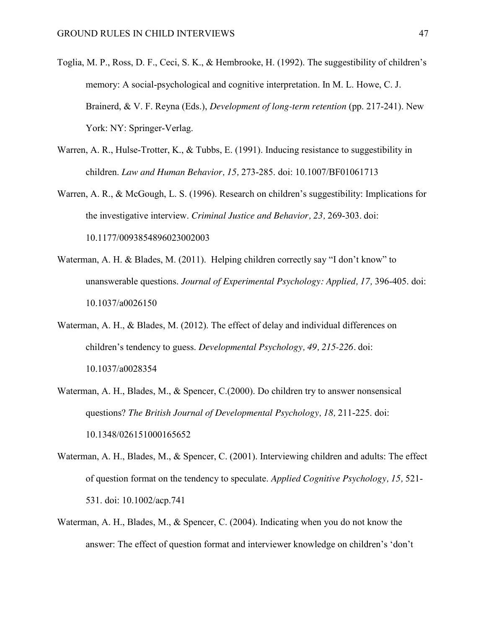- Toglia, M. P., Ross, D. F., Ceci, S. K., & Hembrooke, H. (1992). The suggestibility of children's memory: A social-psychological and cognitive interpretation. In M. L. Howe, C. J. Brainerd, & V. F. Reyna (Eds.), *Development of long-term retention* (pp. 217-241). New York: NY: Springer-Verlag.
- Warren, A. R., Hulse-Trotter, K., & Tubbs, E. (1991). Inducing resistance to suggestibility in children. *Law and Human Behavior, 15,* 273-285. doi: 10.1007/BF01061713
- Warren, A. R., & McGough, L. S. (1996). Research on children's suggestibility: Implications for the investigative interview. *Criminal Justice and Behavior, 23,* 269-303. doi: 10.1177/0093854896023002003
- Waterman, A. H. & Blades, M. (2011). Helping children correctly say "I don't know" to unanswerable questions. *Journal of Experimental Psychology: Applied, 17, 396-405. doi:* 10.1037/a0026150
- Waterman, A. H., & Blades, M. (2012). The effect of delay and individual differences on children's tendency to guess. *Developmental Psychology, 49, 215-226.* doi: 10.1037/a0028354
- Waterman, A. H., Blades, M., & Spencer, C.(2000). Do children try to answer nonsensical questions? *The British Journal of Developmental Psychology, 18,* 211-225. doi: 10.1348/026151000165652
- Waterman, A. H., Blades, M., & Spencer, C. (2001). Interviewing children and adults: The effect of question format on the tendency to speculate. *Applied Cognitive Psychology, 15,* 521- 531. doi: 10.1002/acp.741
- Waterman, A. H., Blades, M., & Spencer, C. (2004). Indicating when you do not know the answer: The effect of question format and interviewer knowledge on children's 'don't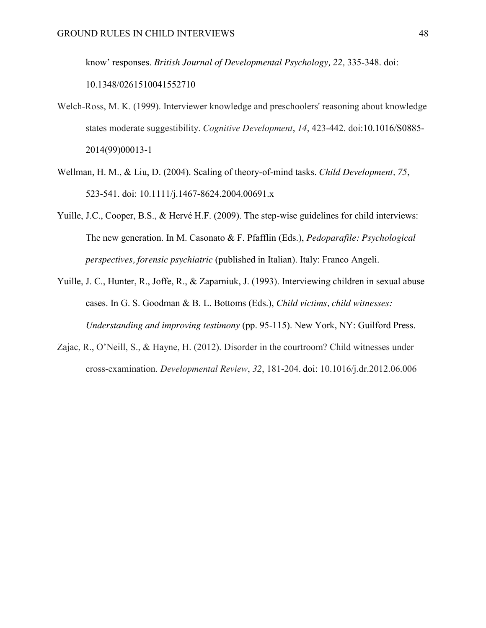know' responses. *British Journal of Developmental Psychology, 22,* 335-348. doi: 10.1348/0261510041552710

- Welch-Ross, M. K. (1999). Interviewer knowledge and preschoolers' reasoning about knowledge states moderate suggestibility. *Cognitive Development*, *14*, 423-442. doi:10.1016/S0885- 2014(99)00013-1
- Wellman, H. M., & Liu, D. (2004). Scaling of theory-of-mind tasks. *Child Development, 75*, 523-541. doi: 10.1111/j.1467-8624.2004.00691.x
- Yuille, J.C., Cooper, B.S., & Hervé H.F. (2009). The step-wise guidelines for child interviews: The new generation. In M. Casonato & F. Pfafflin (Eds.), *Pedoparafile: Psychological perspectives, forensic psychiatric* (published in Italian). Italy: Franco Angeli.
- Yuille, J. C., Hunter, R., Joffe, R., & Zaparniuk, J. (1993). Interviewing children in sexual abuse cases. In G. S. Goodman & B. L. Bottoms (Eds.), *Child victims, child witnesses: Understanding and improving testimony* (pp. 95-115). New York, NY: Guilford Press.
- Zajac, R., O'Neill, S., & Hayne, H. (2012). Disorder in the courtroom? Child witnesses under cross-examination. *Developmental Review*, *32*, 181-204. doi: 10.1016/j.dr.2012.06.006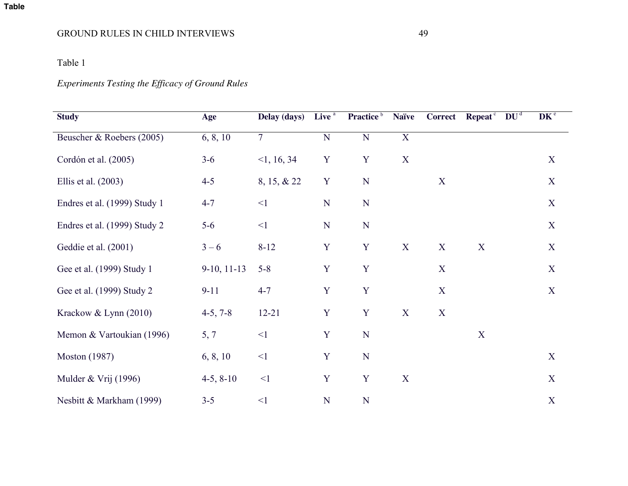# **Table**

# GROUND RULES IN CHILD INTERVIEWS 49

# Table 1

# *Experiments Testing the Efficacy of Ground Rules*

| <b>Study</b>                 | Age           | Delay (days)   | Live <sup>a</sup> | Practice <sup>b</sup> | <b>Naïve</b>     | <b>Correct</b>   | Repeat <sup>c</sup> $DUd$ | DK <sup>e</sup> |
|------------------------------|---------------|----------------|-------------------|-----------------------|------------------|------------------|---------------------------|-----------------|
| Beuscher & Roebers (2005)    | 6, 8, 10      | $\overline{7}$ | N                 | $\overline{N}$        | $\overline{X}$   |                  |                           |                 |
| Cordón et al. (2005)         | $3 - 6$       | <1, 16, 34     | $\mathbf Y$       | Y                     | $\boldsymbol{X}$ |                  |                           | $\mathbf X$     |
| Ellis et al. $(2003)$        | $4 - 5$       | 8, 15, & 22    | $\mathbf Y$       | N                     |                  | $\mathbf X$      |                           | $\mathbf X$     |
| Endres et al. (1999) Study 1 | $4 - 7$       | $\leq$ 1       | ${\bf N}$         | N                     |                  |                  |                           | X               |
| Endres et al. (1999) Study 2 | $5 - 6$       | $\leq$ 1       | ${\bf N}$         | $\mathbf N$           |                  |                  |                           | $\mathbf X$     |
| Geddie et al. (2001)         | $3 - 6$       | $8 - 12$       | $\mathbf Y$       | Y                     | $\mathbf X$      | X                | X                         | X               |
| Gee et al. (1999) Study 1    | $9-10, 11-13$ | $5 - 8$        | $\mathbf Y$       | $\mathbf Y$           |                  | $\boldsymbol{X}$ |                           | $\mathbf X$     |
| Gee et al. (1999) Study 2    | $9 - 11$      | $4 - 7$        | $\mathbf Y$       | Y                     |                  | X                |                           | X               |
| Krackow & Lynn (2010)        | $4-5, 7-8$    | $12 - 21$      | $\mathbf Y$       | $\mathbf Y$           | $\mathbf X$      | X                |                           |                 |
| Memon & Vartoukian (1996)    | 5, 7          | $\leq$ 1       | $\mathbf Y$       | N                     |                  |                  | X                         |                 |
| <b>Moston</b> (1987)         | 6, 8, 10      | $\leq$ 1       | $\mathbf Y$       | N                     |                  |                  |                           | X               |
| Mulder & Vrij $(1996)$       | $4-5, 8-10$   | $\leq$ 1       | Y                 | $\mathbf Y$           | $\mathbf X$      |                  |                           | $\mathbf X$     |
| Nesbitt & Markham (1999)     | $3 - 5$       | $\leq$ 1       | N                 | N                     |                  |                  |                           | $\mathbf X$     |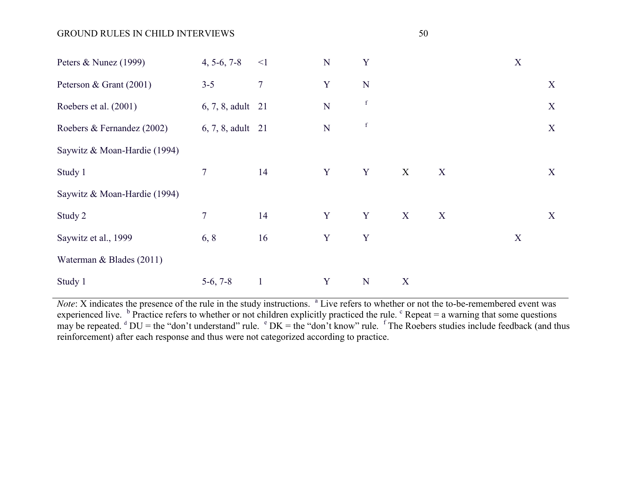## GROUND RULES IN CHILD INTERVIEWS 50

| Peters & Nunez (1999)        | $4, 5-6, 7-8$     | $\leq$ 1         | ${\bf N}$ | Y           |                           |   | X |   |
|------------------------------|-------------------|------------------|-----------|-------------|---------------------------|---|---|---|
| Peterson & Grant (2001)      | $3 - 5$           | $\boldsymbol{7}$ | Y         | ${\bf N}$   |                           |   |   | X |
| Roebers et al. (2001)        | 6, 7, 8, adult 21 |                  | ${\bf N}$ | $\mathbf f$ |                           |   |   | X |
| Roebers & Fernandez (2002)   | 6, 7, 8, adult 21 |                  | ${\bf N}$ | $\mathbf f$ |                           |   |   | X |
| Saywitz & Moan-Hardie (1994) |                   |                  |           |             |                           |   |   |   |
| Study 1                      | $\overline{7}$    | 14               | Y         | Y           | $\boldsymbol{\mathrm{X}}$ | X |   | X |
| Saywitz & Moan-Hardie (1994) |                   |                  |           |             |                           |   |   |   |
| Study 2                      | $\tau$            | 14               | Y         | Y           | X                         | X |   | X |
| Saywitz et al., 1999         | 6, 8              | 16               | Y         | Y           |                           |   | X |   |
| Waterman & Blades (2011)     |                   |                  |           |             |                           |   |   |   |
| Study 1                      | $5-6, 7-8$        | $\mathbf{1}$     | Y         | N           | X                         |   |   |   |

*Note*: X indicates the presence of the rule in the study instructions. <sup>a</sup> Live refers to whether or not the to-be-remembered event was experienced live.  $\frac{b}{c}$  Practice refers to whether or not children explicitly practiced the rule.  $\frac{c}{c}$  Repeat = a warning that some questions may be repeated.  $d$  DU = the "don't understand" rule.  $e$  DK = the "don't know" rule.  $f$  The Roebers studies include feedback (and thus reinforcement) after each response and thus were not categorized according to practice.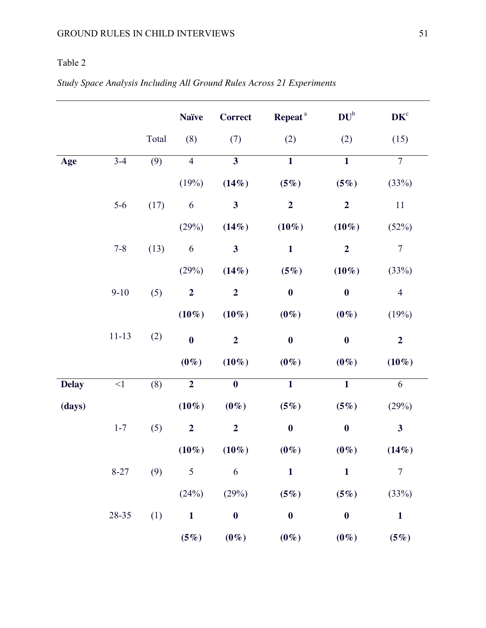# Table 2

# *Study Space Analysis Including All Ground Rules Across 21 Experiments*

|              |           |       | <b>Naïve</b>     | <b>Correct</b>          | Repeat <sup>a</sup> | $DU^b$                  | DK <sup>c</sup>         |
|--------------|-----------|-------|------------------|-------------------------|---------------------|-------------------------|-------------------------|
|              |           | Total | (8)              | (7)                     | (2)                 | (2)                     | (15)                    |
| Age          | $3 - 4$   | (9)   | $\overline{4}$   | $\overline{\mathbf{3}}$ | $\overline{1}$      | $\overline{\mathbf{1}}$ | $\overline{7}$          |
|              |           |       | (19%)            | (14%)                   | (5%)                | (5%)                    | (33%)                   |
|              | $5-6$     | (17)  | 6                | $\mathbf{3}$            | $\overline{2}$      | $\boldsymbol{2}$        | 11                      |
|              |           |       | (29%)            | (14%)                   | $(10\%)$            | $(10\%)$                | (52%)                   |
|              | $7 - 8$   | (13)  | 6                | $\mathbf{3}$            | $\mathbf{1}$        | $\overline{2}$          | $\boldsymbol{7}$        |
|              |           |       | (29%)            | (14%)                   | (5%)                | $(10\%)$                | (33%)                   |
|              | $9 - 10$  | (5)   | $\overline{2}$   | $\boldsymbol{2}$        | $\boldsymbol{0}$    | $\boldsymbol{0}$        | $\overline{4}$          |
|              |           |       | $(10\%)$         | $(10\%)$                | $(0\%)$             | $(0\%)$                 | (19%)                   |
|              | $11 - 13$ | (2)   | $\bf{0}$         | $\overline{2}$          | $\boldsymbol{0}$    | $\boldsymbol{0}$        | $\overline{\mathbf{2}}$ |
|              |           |       | $(0\%)$          | $(10\%)$                | $(0\%)$             | $(0\%)$                 | $(10\%)$                |
| <b>Delay</b> | $<\!\!1$  | (8)   | $\overline{2}$   | $\bf{0}$                | $\overline{1}$      | $\mathbf{1}$            | 6                       |
| (days)       |           |       | $(10\%)$         | $(0\%)$                 | (5%)                | (5%)                    | (29%)                   |
|              | $1 - 7$   | (5)   | $\boldsymbol{2}$ | $\overline{2}$          | $\bf{0}$            | $\bf{0}$                | $\mathbf{3}$            |
|              |           |       | $(10\%)$         | $(10\%)$                | $(0\%)$             | $(0\%)$                 | (14%)                   |
|              | $8 - 27$  | (9)   | 5                | 6                       | $\mathbf{1}$        | $\mathbf{1}$            | $\overline{7}$          |
|              |           |       | (24%)            | (29%)                   | (5%)                | (5%)                    | (33%)                   |
|              | 28-35     | (1)   | $\mathbf{1}$     | $\boldsymbol{0}$        | $\boldsymbol{0}$    | $\boldsymbol{0}$        | $\mathbf{1}$            |
|              |           |       | (5%)             | $(0\%)$                 | $(0\%)$             | $(0\%)$                 | (5%)                    |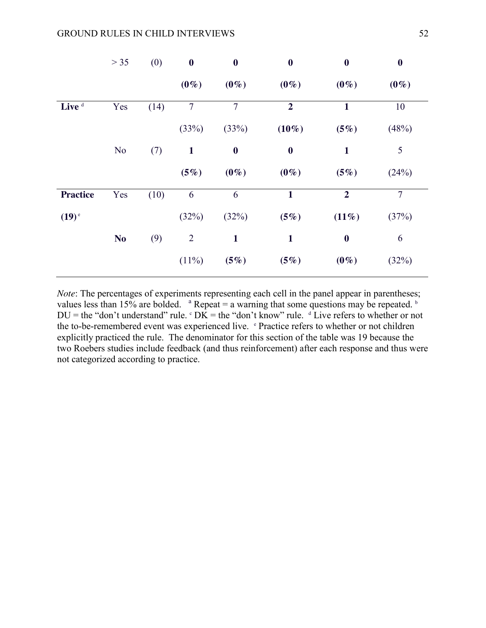|                     | $> 35$         | (0)  | $\boldsymbol{0}$ | $\boldsymbol{0}$ | $\boldsymbol{0}$ | $\boldsymbol{0}$ | $\boldsymbol{0}$ |
|---------------------|----------------|------|------------------|------------------|------------------|------------------|------------------|
|                     |                |      | $(0\%)$          | $(0\%)$          | $(0\%)$          | $(0\%)$          | $(0\%)$          |
| Live <sup>d</sup>   | Yes            | (14) | $\overline{7}$   | $\overline{7}$   | $\overline{2}$   | $\mathbf{1}$     | 10               |
|                     |                |      | (33%)            | (33%)            | $(10\%)$         | (5%)             | (48%)            |
|                     | N <sub>0</sub> | (7)  | $\mathbf{1}$     | $\boldsymbol{0}$ | $\boldsymbol{0}$ | $\mathbf{1}$     | 5                |
|                     |                |      | (5%)             | $(0\%)$          | $(0\%)$          | (5%)             | (24%)            |
| <b>Practice</b>     | Yes            | (10) | 6                | 6                | $\mathbf{1}$     | $\boldsymbol{2}$ | $\overline{7}$   |
| $(19)$ <sup>e</sup> |                |      | (32%)            | (32%)            | (5%)             | (11%)            | (37%)            |
|                     | N <sub>o</sub> | (9)  | $\overline{2}$   | $\mathbf{1}$     | $\mathbf{1}$     | $\boldsymbol{0}$ | 6                |
|                     |                |      | $(11\%)$         | (5%)             | (5%)             | $(0\%)$          | (32%)            |

*Note*: The percentages of experiments representing each cell in the panel appear in parentheses; values less than 15% are bolded.  $a$  Repeat = a warning that some questions may be repeated.  $b$  $DU =$  the "don't understand" rule.  $\text{c}$  DK = the "don't know" rule.  $\text{d}$  Live refers to whether or not the to-be-remembered event was experienced live. *e* Practice refers to whether or not children explicitly practiced the rule. The denominator for this section of the table was 19 because the two Roebers studies include feedback (and thus reinforcement) after each response and thus were not categorized according to practice.